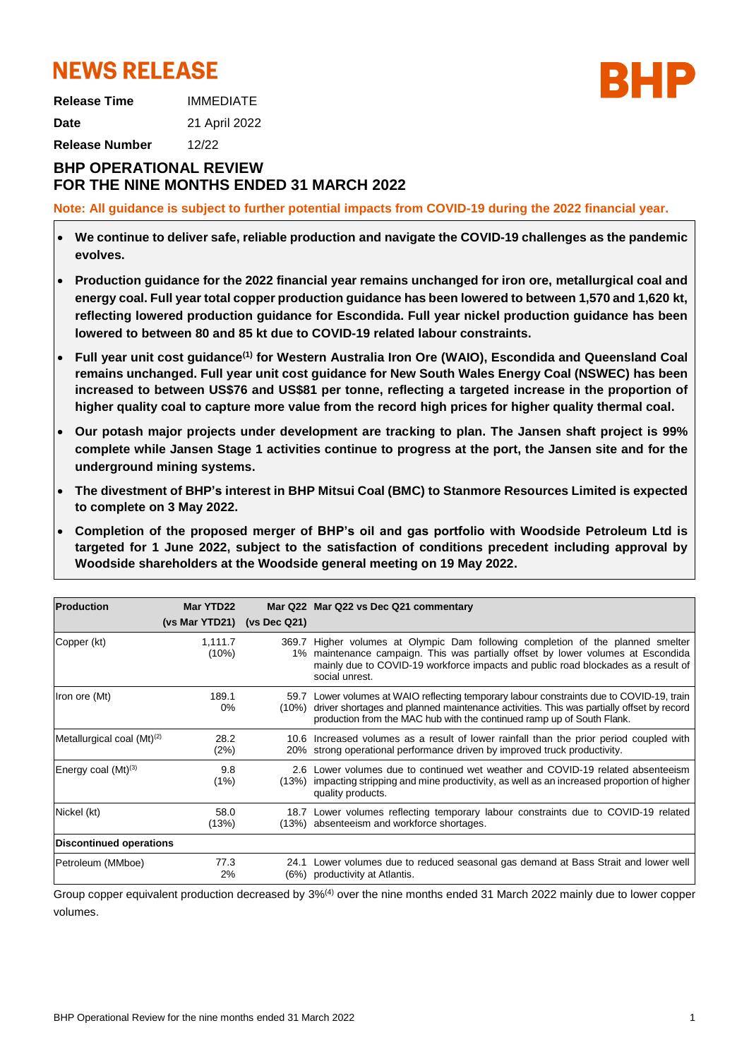# **NEWS RELEASE**

**Release Time** IMMEDIATE **Date** 21 April 2022

**Release Number** 12/22

# **BHP OPERATIONAL REVIEW FOR THE NINE MONTHS ENDED 31 MARCH 2022**

**Note: All guidance is subject to further potential impacts from COVID-19 during the 2022 financial year.**

- **We continue to deliver safe, reliable production and navigate the COVID-19 challenges as the pandemic evolves.**
- **Production guidance for the 2022 financial year remains unchanged for iron ore, metallurgical coal and energy coal. Full year total copper production guidance has been lowered to between 1,570 and 1,620 kt, reflecting lowered production guidance for Escondida. Full year nickel production guidance has been lowered to between 80 and 85 kt due to COVID-19 related labour constraints.**
- **Full year unit cost guidance(1) for Western Australia Iron Ore (WAIO), Escondida and Queensland Coal remains unchanged. Full year unit cost guidance for New South Wales Energy Coal (NSWEC) has been increased to between US\$76 and US\$81 per tonne, reflecting a targeted increase in the proportion of higher quality coal to capture more value from the record high prices for higher quality thermal coal.**
- **Our potash major projects under development are tracking to plan. The Jansen shaft project is 99% complete while Jansen Stage 1 activities continue to progress at the port, the Jansen site and for the underground mining systems.**
- **The divestment of BHP's interest in BHP Mitsui Coal (BMC) to Stanmore Resources Limited is expected to complete on 3 May 2022.**
- **Completion of the proposed merger of BHP's oil and gas portfolio with Woodside Petroleum Ltd is targeted for 1 June 2022, subject to the satisfaction of conditions precedent including approval by Woodside shareholders at the Woodside general meeting on 19 May 2022.**

| <b>Production</b>               | Mar YTD22        |              | Mar Q22 Mar Q22 vs Dec Q21 commentary                                                                                                                                                                                                                                      |
|---------------------------------|------------------|--------------|----------------------------------------------------------------------------------------------------------------------------------------------------------------------------------------------------------------------------------------------------------------------------|
|                                 | (vs Mar YTD21)   | (vs Dec Q21) |                                                                                                                                                                                                                                                                            |
| Copper (kt)                     | 1,111.7<br>(10%) |              | 369.7 Higher volumes at Olympic Dam following completion of the planned smelter<br>1% maintenance campaign. This was partially offset by lower volumes at Escondida<br>mainly due to COVID-19 workforce impacts and public road blockades as a result of<br>social unrest. |
| Iron ore (Mt)                   | 189.1<br>$0\%$   | $(10\%)$     | 59.7 Lower volumes at WAIO reflecting temporary labour constraints due to COVID-19, train<br>driver shortages and planned maintenance activities. This was partially offset by record<br>production from the MAC hub with the continued ramp up of South Flank.            |
| Metallurgical coal $(Mt)^{(2)}$ | 28.2<br>(2%)     |              | 10.6 Increased volumes as a result of lower rainfall than the prior period coupled with<br>20% strong operational performance driven by improved truck productivity.                                                                                                       |
| Energy coal $(Mt)^{(3)}$        | 9.8<br>(1%)      |              | 2.6 Lower volumes due to continued wet weather and COVID-19 related absenteeism<br>(13%) impacting stripping and mine productivity, as well as an increased proportion of higher<br>quality products.                                                                      |
| Nickel (kt)                     | 58.0<br>(13%)    |              | 18.7 Lower volumes reflecting temporary labour constraints due to COVID-19 related<br>(13%) absenteeism and workforce shortages.                                                                                                                                           |
| <b>Discontinued operations</b>  |                  |              |                                                                                                                                                                                                                                                                            |
| Petroleum (MMboe)               | 77.3<br>2%       | 24.1<br>(6%) | Lower volumes due to reduced seasonal gas demand at Bass Strait and lower well<br>productivity at Atlantis.                                                                                                                                                                |

Group copper equivalent production decreased by 3%(4) over the nine months ended 31 March 2022 mainly due to lower copper volumes.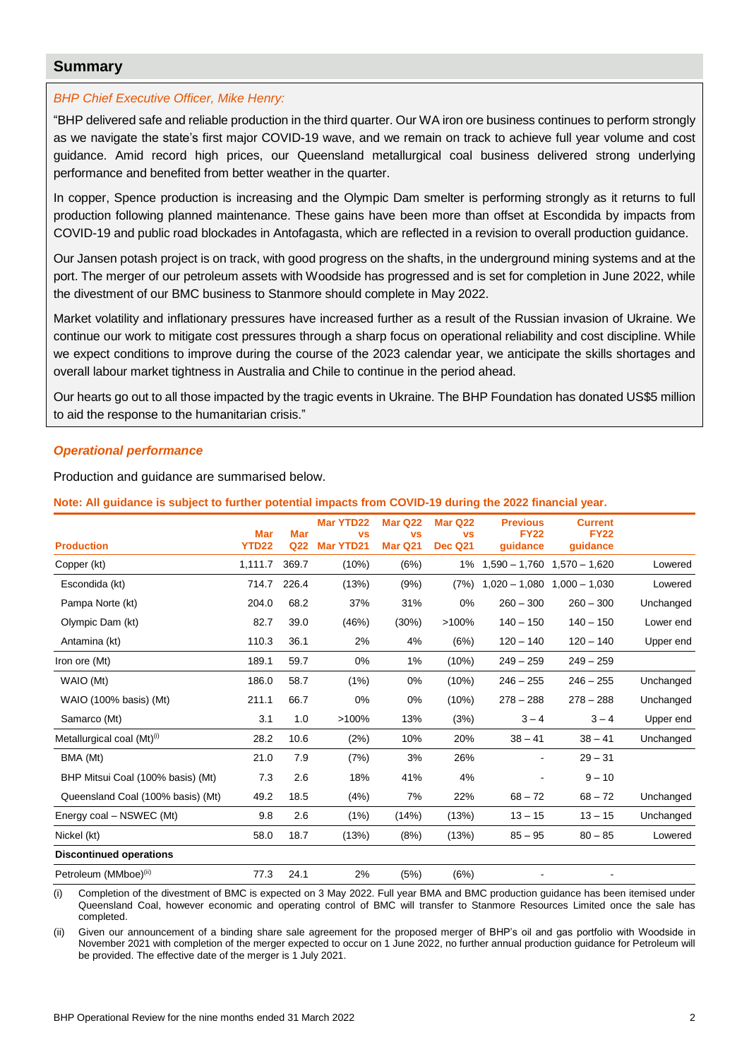# **Summary**

#### *BHP Chief Executive Officer, Mike Henry:*

"BHP delivered safe and reliable production in the third quarter. Our WA iron ore business continues to perform strongly as we navigate the state's first major COVID-19 wave, and we remain on track to achieve full year volume and cost guidance. Amid record high prices, our Queensland metallurgical coal business delivered strong underlying performance and benefited from better weather in the quarter.

In copper, Spence production is increasing and the Olympic Dam smelter is performing strongly as it returns to full production following planned maintenance. These gains have been more than offset at Escondida by impacts from COVID-19 and public road blockades in Antofagasta, which are reflected in a revision to overall production guidance.

Our Jansen potash project is on track, with good progress on the shafts, in the underground mining systems and at the port. The merger of our petroleum assets with Woodside has progressed and is set for completion in June 2022, while the divestment of our BMC business to Stanmore should complete in May 2022.

Market volatility and inflationary pressures have increased further as a result of the Russian invasion of Ukraine. We continue our work to mitigate cost pressures through a sharp focus on operational reliability and cost discipline. While we expect conditions to improve during the course of the 2023 calendar year, we anticipate the skills shortages and overall labour market tightness in Australia and Chile to continue in the period ahead.

Our hearts go out to all those impacted by the tragic events in Ukraine. The BHP Foundation has donated US\$5 million to aid the response to the humanitarian crisis."

#### *Operational performance*

Production and guidance are summarised below.

**Note: All guidance is subject to further potential impacts from COVID-19 during the 2022 financial year.**

| <b>Production</b>                 | <b>Mar</b><br><b>YTD22</b> | <b>Mar</b><br>Q <sub>22</sub> | <b>Mar YTD22</b><br><b>VS</b><br><b>Mar YTD21</b> | Mar Q22<br><b>VS</b><br>Mar Q21 | Mar Q22<br><b>VS</b><br><b>Dec Q21</b> | <b>Previous</b><br><b>FY22</b><br>quidance | <b>Current</b><br><b>FY22</b><br>guidance |           |
|-----------------------------------|----------------------------|-------------------------------|---------------------------------------------------|---------------------------------|----------------------------------------|--------------------------------------------|-------------------------------------------|-----------|
| Copper (kt)                       | 1,111.7                    | 369.7                         | (10%)                                             | (6%)                            | 1%                                     | $1,590 - 1,760$                            | $1,570 - 1,620$                           | Lowered   |
| Escondida (kt)                    | 714.7                      | 226.4                         | (13%)                                             | (9%)                            | (7%)                                   | $1,020 - 1,080$                            | $1,000 - 1,030$                           | Lowered   |
| Pampa Norte (kt)                  | 204.0                      | 68.2                          | 37%                                               | 31%                             | 0%                                     | $260 - 300$                                | $260 - 300$                               | Unchanged |
| Olympic Dam (kt)                  | 82.7                       | 39.0                          | (46%)                                             | (30%)                           | >100%                                  | $140 - 150$                                | $140 - 150$                               | Lower end |
| Antamina (kt)                     | 110.3                      | 36.1                          | 2%                                                | 4%                              | (6%)                                   | $120 - 140$                                | $120 - 140$                               | Upper end |
| Iron ore (Mt)                     | 189.1                      | 59.7                          | 0%                                                | 1%                              | (10%)                                  | $249 - 259$                                | $249 - 259$                               |           |
| WAIO (Mt)                         | 186.0                      | 58.7                          | (1%)                                              | 0%                              | (10%)                                  | $246 - 255$                                | $246 - 255$                               | Unchanged |
| WAIO (100% basis) (Mt)            | 211.1                      | 66.7                          | 0%                                                | 0%                              | (10%)                                  | $278 - 288$                                | $278 - 288$                               | Unchanged |
| Samarco (Mt)                      | 3.1                        | 1.0                           | >100%                                             | 13%                             | (3%)                                   | $3 - 4$                                    | $3 - 4$                                   | Upper end |
| Metallurgical coal $(Mt)^{(i)}$   | 28.2                       | 10.6                          | (2%)                                              | 10%                             | 20%                                    | $38 - 41$                                  | $38 - 41$                                 | Unchanged |
| BMA (Mt)                          | 21.0                       | 7.9                           | (7%)                                              | 3%                              | 26%                                    |                                            | $29 - 31$                                 |           |
| BHP Mitsui Coal (100% basis) (Mt) | 7.3                        | 2.6                           | 18%                                               | 41%                             | 4%                                     |                                            | $9 - 10$                                  |           |
| Queensland Coal (100% basis) (Mt) | 49.2                       | 18.5                          | (4%)                                              | 7%                              | 22%                                    | $68 - 72$                                  | $68 - 72$                                 | Unchanged |
| Energy coal - NSWEC (Mt)          | 9.8                        | 2.6                           | (1%)                                              | (14%)                           | (13%)                                  | $13 - 15$                                  | $13 - 15$                                 | Unchanged |
| Nickel (kt)                       | 58.0                       | 18.7                          | (13%)                                             | (8%)                            | (13%)                                  | $85 - 95$                                  | $80 - 85$                                 | Lowered   |
| <b>Discontinued operations</b>    |                            |                               |                                                   |                                 |                                        |                                            |                                           |           |
| Petroleum (MMboe) <sup>(ii)</sup> | 77.3                       | 24.1                          | 2%                                                | (5%)                            | (6%)                                   |                                            |                                           |           |

(i) Completion of the divestment of BMC is expected on 3 May 2022. Full year BMA and BMC production guidance has been itemised under Queensland Coal, however economic and operating control of BMC will transfer to Stanmore Resources Limited once the sale has completed.

(ii) Given our announcement of a binding share sale agreement for the proposed merger of BHP's oil and gas portfolio with Woodside in November 2021 with completion of the merger expected to occur on 1 June 2022, no further annual production guidance for Petroleum will be provided. The effective date of the merger is 1 July 2021.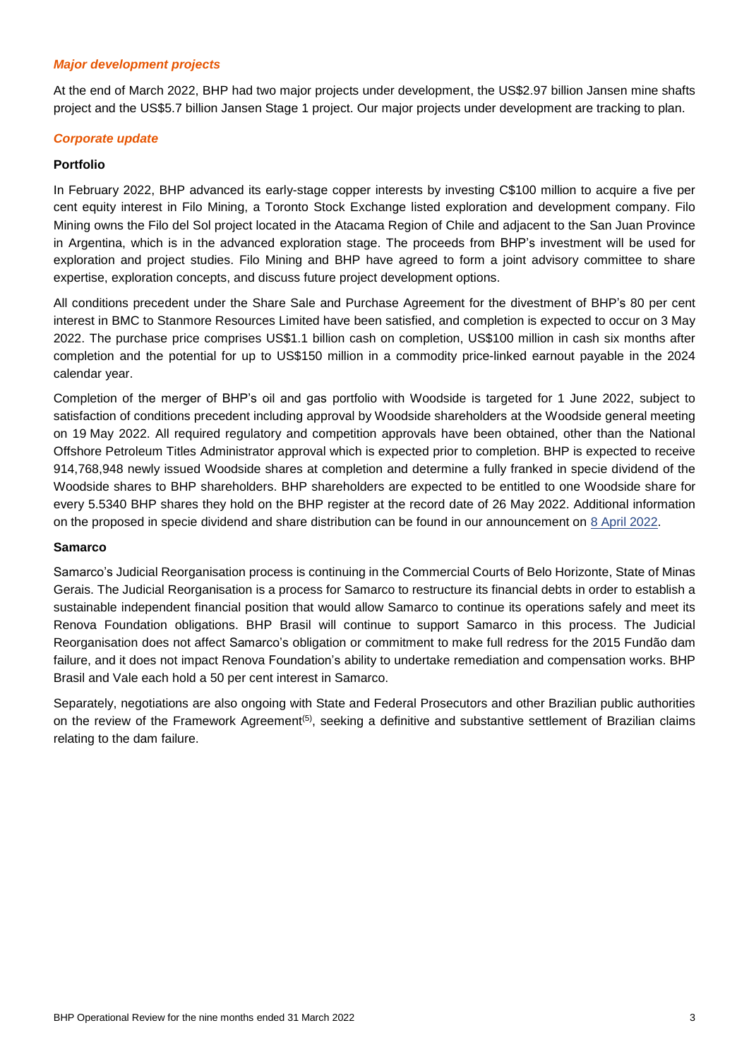#### *Major development projects*

At the end of March 2022, BHP had two major projects under development, the US\$2.97 billion Jansen mine shafts project and the US\$5.7 billion Jansen Stage 1 project. Our major projects under development are tracking to plan.

#### *Corporate update*

#### **Portfolio**

In February 2022, BHP advanced its early-stage copper interests by investing C\$100 million to acquire a five per cent equity interest in Filo Mining, a Toronto Stock Exchange listed exploration and development company. Filo Mining owns the Filo del Sol project located in the Atacama Region of Chile and adjacent to the San Juan Province in Argentina, which is in the advanced exploration stage. The proceeds from BHP's investment will be used for exploration and project studies. Filo Mining and BHP have agreed to form a joint advisory committee to share expertise, exploration concepts, and discuss future project development options.

All conditions precedent under the Share Sale and Purchase Agreement for the divestment of BHP's 80 per cent interest in BMC to Stanmore Resources Limited have been satisfied, and completion is expected to occur on 3 May 2022. The purchase price comprises US\$1.1 billion cash on completion, US\$100 million in cash six months after completion and the potential for up to US\$150 million in a commodity price-linked earnout payable in the 2024 calendar year.

Completion of the merger of BHP's oil and gas portfolio with Woodside is targeted for 1 June 2022, subject to satisfaction of conditions precedent including approval by Woodside shareholders at the Woodside general meeting on 19 May 2022. All required regulatory and competition approvals have been obtained, other than the National Offshore Petroleum Titles Administrator approval which is expected prior to completion. BHP is expected to receive 914,768,948 newly issued Woodside shares at completion and determine a fully franked in specie dividend of the Woodside shares to BHP shareholders. BHP shareholders are expected to be entitled to one Woodside share for every 5.5340 BHP shares they hold on the BHP register at the record date of 26 May 2022. Additional information on the proposed in specie dividend and share distribution can be found in our announcement on [8 April 2022.](https://www.bhp.com/news/media-centre/releases/2022/04/update-on-bhp-petroleum-and-woodside-merger-and-share-distribution-information)

#### **Samarco**

Samarco's Judicial Reorganisation process is continuing in the Commercial Courts of Belo Horizonte, State of Minas Gerais. The Judicial Reorganisation is a process for Samarco to restructure its financial debts in order to establish a sustainable independent financial position that would allow Samarco to continue its operations safely and meet its Renova Foundation obligations. BHP Brasil will continue to support Samarco in this process. The Judicial Reorganisation does not affect Samarco's obligation or commitment to make full redress for the 2015 Fundão dam failure, and it does not impact Renova Foundation's ability to undertake remediation and compensation works. BHP Brasil and Vale each hold a 50 per cent interest in Samarco.

Separately, negotiations are also ongoing with State and Federal Prosecutors and other Brazilian public authorities on the review of the Framework Agreement<sup>(5)</sup>, seeking a definitive and substantive settlement of Brazilian claims relating to the dam failure.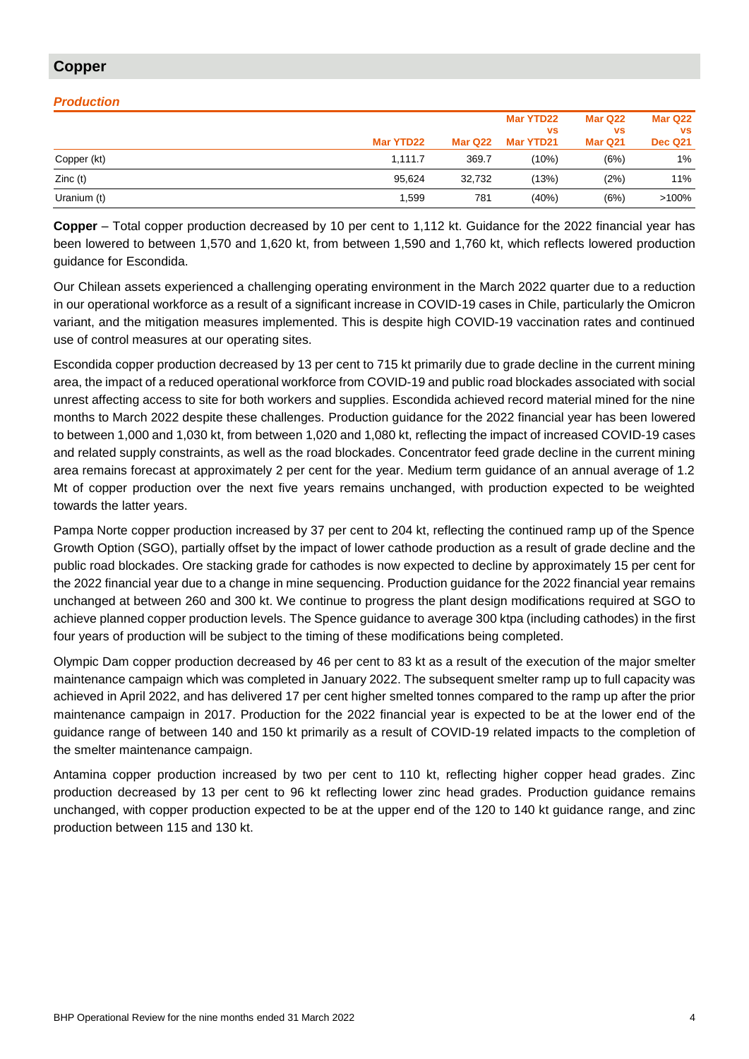# **Copper**

#### *Production*

|             |           |         | Mar YTD22<br><b>VS</b> | Mar Q22<br><b>VS</b> | Mar Q22<br><b>VS</b> |
|-------------|-----------|---------|------------------------|----------------------|----------------------|
|             | Mar YTD22 | Mar Q22 | Mar YTD21              | Mar Q21              | <b>Dec Q21</b>       |
| Copper (kt) | 1.111.7   | 369.7   | (10%)                  | (6%)                 | 1%                   |
| Zinc(t)     | 95.624    | 32.732  | (13%)                  | (2%)                 | 11%                  |
| Uranium (t) | 1,599     | 781     | (40%)                  | (6%)                 | $>100\%$             |

**Copper** – Total copper production decreased by 10 per cent to 1,112 kt. Guidance for the 2022 financial year has been lowered to between 1,570 and 1,620 kt, from between 1,590 and 1,760 kt, which reflects lowered production guidance for Escondida.

Our Chilean assets experienced a challenging operating environment in the March 2022 quarter due to a reduction in our operational workforce as a result of a significant increase in COVID-19 cases in Chile, particularly the Omicron variant, and the mitigation measures implemented. This is despite high COVID-19 vaccination rates and continued use of control measures at our operating sites.

Escondida copper production decreased by 13 per cent to 715 kt primarily due to grade decline in the current mining area, the impact of a reduced operational workforce from COVID-19 and public road blockades associated with social unrest affecting access to site for both workers and supplies. Escondida achieved record material mined for the nine months to March 2022 despite these challenges. Production guidance for the 2022 financial year has been lowered to between 1,000 and 1,030 kt, from between 1,020 and 1,080 kt, reflecting the impact of increased COVID-19 cases and related supply constraints, as well as the road blockades. Concentrator feed grade decline in the current mining area remains forecast at approximately 2 per cent for the year. Medium term guidance of an annual average of 1.2 Mt of copper production over the next five years remains unchanged, with production expected to be weighted towards the latter years.

Pampa Norte copper production increased by 37 per cent to 204 kt, reflecting the continued ramp up of the Spence Growth Option (SGO), partially offset by the impact of lower cathode production as a result of grade decline and the public road blockades. Ore stacking grade for cathodes is now expected to decline by approximately 15 per cent for the 2022 financial year due to a change in mine sequencing. Production guidance for the 2022 financial year remains unchanged at between 260 and 300 kt. We continue to progress the plant design modifications required at SGO to achieve planned copper production levels. The Spence guidance to average 300 ktpa (including cathodes) in the first four years of production will be subject to the timing of these modifications being completed.

Olympic Dam copper production decreased by 46 per cent to 83 kt as a result of the execution of the major smelter maintenance campaign which was completed in January 2022. The subsequent smelter ramp up to full capacity was achieved in April 2022, and has delivered 17 per cent higher smelted tonnes compared to the ramp up after the prior maintenance campaign in 2017. Production for the 2022 financial year is expected to be at the lower end of the guidance range of between 140 and 150 kt primarily as a result of COVID-19 related impacts to the completion of the smelter maintenance campaign.

Antamina copper production increased by two per cent to 110 kt, reflecting higher copper head grades. Zinc production decreased by 13 per cent to 96 kt reflecting lower zinc head grades. Production guidance remains unchanged, with copper production expected to be at the upper end of the 120 to 140 kt guidance range, and zinc production between 115 and 130 kt.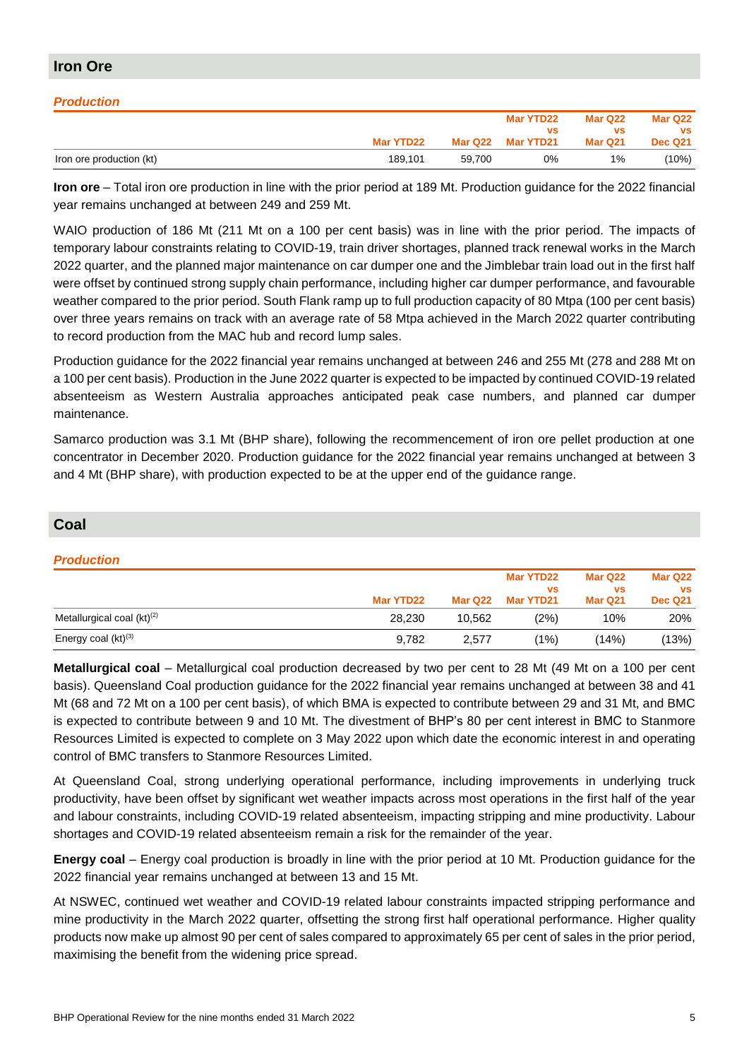#### **Iron Ore** *Production*  **Mar YTD22 Mar Q22 Mar YTD22 vs Mar YTD21 Mar Q22 vs Mar Q21 Mar Q22 vs Dec Q21** Iron ore production (kt) 189,101 59,700 0% 1% (10%)

**Iron ore** – Total iron ore production in line with the prior period at 189 Mt. Production guidance for the 2022 financial year remains unchanged at between 249 and 259 Mt.

WAIO production of 186 Mt (211 Mt on a 100 per cent basis) was in line with the prior period. The impacts of temporary labour constraints relating to COVID-19, train driver shortages, planned track renewal works in the March 2022 quarter, and the planned major maintenance on car dumper one and the Jimblebar train load out in the first half were offset by continued strong supply chain performance, including higher car dumper performance, and favourable weather compared to the prior period. South Flank ramp up to full production capacity of 80 Mtpa (100 per cent basis) over three years remains on track with an average rate of 58 Mtpa achieved in the March 2022 quarter contributing to record production from the MAC hub and record lump sales.

Production guidance for the 2022 financial year remains unchanged at between 246 and 255 Mt (278 and 288 Mt on a 100 per cent basis). Production in the June 2022 quarter is expected to be impacted by continued COVID-19 related absenteeism as Western Australia approaches anticipated peak case numbers, and planned car dumper maintenance.

Samarco production was 3.1 Mt (BHP share), following the recommencement of iron ore pellet production at one concentrator in December 2020. Production guidance for the 2022 financial year remains unchanged at between 3 and 4 Mt (BHP share), with production expected to be at the upper end of the guidance range.

# **Coal**

### *Production*

|                                        |           |         | Mar YTD22 | Mar Q22   | Mar Q22        |
|----------------------------------------|-----------|---------|-----------|-----------|----------------|
|                                        |           |         | <b>VS</b> | <b>VS</b> | <b>VS</b>      |
|                                        | Mar YTD22 | Mar Q22 | Mar YTD21 | Mar Q21   | <b>Dec Q21</b> |
| Metallurgical coal (kt) <sup>(2)</sup> | 28.230    | 10.562  | (2%)      | 10%       | 20%            |
| Energy coal (kt) <sup>(3)</sup>        | 9,782     | 2,577   | (1%)      | (14%)     | (13%)          |

**Metallurgical coal** – Metallurgical coal production decreased by two per cent to 28 Mt (49 Mt on a 100 per cent basis). Queensland Coal production guidance for the 2022 financial year remains unchanged at between 38 and 41 Mt (68 and 72 Mt on a 100 per cent basis), of which BMA is expected to contribute between 29 and 31 Mt, and BMC is expected to contribute between 9 and 10 Mt. The divestment of BHP's 80 per cent interest in BMC to Stanmore Resources Limited is expected to complete on 3 May 2022 upon which date the economic interest in and operating control of BMC transfers to Stanmore Resources Limited.

At Queensland Coal, strong underlying operational performance, including improvements in underlying truck productivity, have been offset by significant wet weather impacts across most operations in the first half of the year and labour constraints, including COVID-19 related absenteeism, impacting stripping and mine productivity. Labour shortages and COVID-19 related absenteeism remain a risk for the remainder of the year.

**Energy coal** – Energy coal production is broadly in line with the prior period at 10 Mt. Production guidance for the 2022 financial year remains unchanged at between 13 and 15 Mt.

At NSWEC, continued wet weather and COVID-19 related labour constraints impacted stripping performance and mine productivity in the March 2022 quarter, offsetting the strong first half operational performance. Higher quality products now make up almost 90 per cent of sales compared to approximately 65 per cent of sales in the prior period, maximising the benefit from the widening price spread.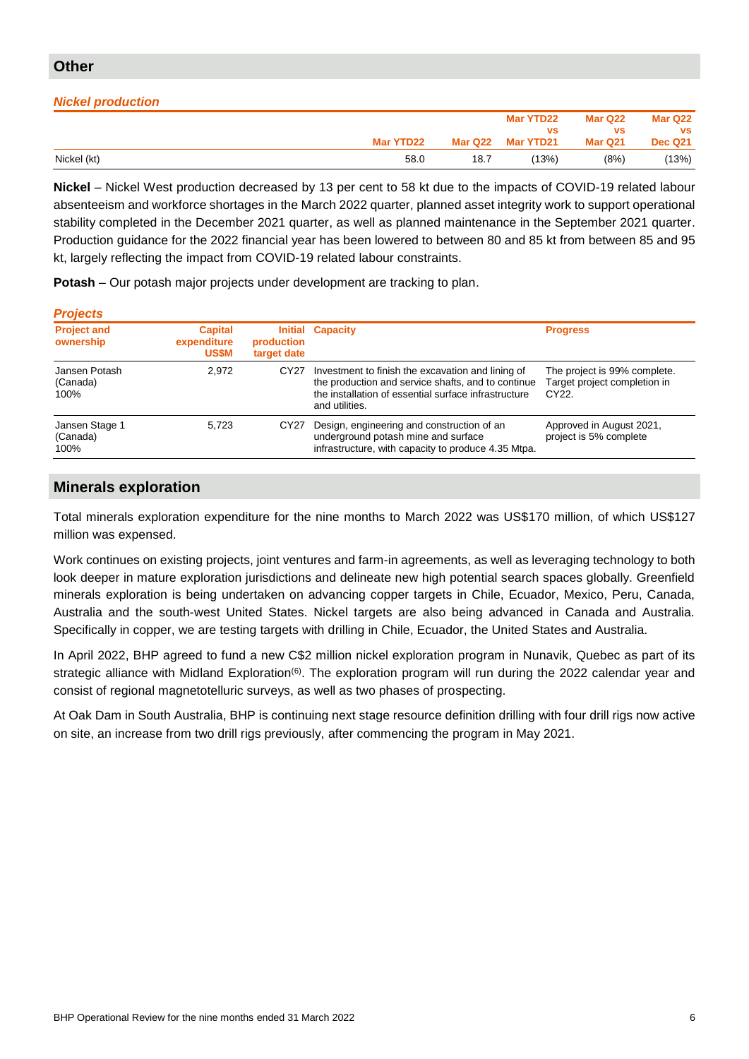# **Other**

## *Nickel production*

|                                                  |           |         | Mar YTD22 | Mar Q22 | Mar Q22        |
|--------------------------------------------------|-----------|---------|-----------|---------|----------------|
|                                                  |           |         | <b>VS</b> | vs      | <b>VS</b>      |
|                                                  | Mar YTD22 | Mar Q22 | Mar YTD21 | Mar Q21 | <b>Dec Q21</b> |
| Nickel (kt)<br>and the control of the control of | 58.0      | 18.7    | (13%)     | (8%)    | (13%)          |

**Nickel** – Nickel West production decreased by 13 per cent to 58 kt due to the impacts of COVID-19 related labour absenteeism and workforce shortages in the March 2022 quarter, planned asset integrity work to support operational stability completed in the December 2021 quarter, as well as planned maintenance in the September 2021 quarter. Production guidance for the 2022 financial year has been lowered to between 80 and 85 kt from between 85 and 95 kt, largely reflecting the impact from COVID-19 related labour constraints.

**Potash** – Our potash major projects under development are tracking to plan.

| <b>Projects</b>                    |                                               |                           |                                                                                                                                                                                   |                                                                       |
|------------------------------------|-----------------------------------------------|---------------------------|-----------------------------------------------------------------------------------------------------------------------------------------------------------------------------------|-----------------------------------------------------------------------|
| <b>Project and</b><br>ownership    | <b>Capital</b><br>expenditure<br><b>US\$M</b> | production<br>target date | <b>Initial Capacity</b>                                                                                                                                                           | <b>Progress</b>                                                       |
| Jansen Potash<br>(Canada)<br>100%  | 2,972                                         | CY <sub>27</sub>          | Investment to finish the excavation and lining of<br>the production and service shafts, and to continue<br>the installation of essential surface infrastructure<br>and utilities. | The project is 99% complete.<br>Target project completion in<br>CY22. |
| Jansen Stage 1<br>(Canada)<br>100% | 5.723                                         | CY27                      | Design, engineering and construction of an<br>underground potash mine and surface<br>infrastructure, with capacity to produce 4.35 Mtpa.                                          | Approved in August 2021,<br>project is 5% complete                    |

# **Minerals exploration**

Total minerals exploration expenditure for the nine months to March 2022 was US\$170 million, of which US\$127 million was expensed.

Work continues on existing projects, joint ventures and farm-in agreements, as well as leveraging technology to both look deeper in mature exploration jurisdictions and delineate new high potential search spaces globally. Greenfield minerals exploration is being undertaken on advancing copper targets in Chile, Ecuador, Mexico, Peru, Canada, Australia and the south-west United States. Nickel targets are also being advanced in Canada and Australia. Specifically in copper, we are testing targets with drilling in Chile, Ecuador, the United States and Australia.

In April 2022, BHP agreed to fund a new C\$2 million nickel exploration program in Nunavik, Quebec as part of its strategic alliance with Midland Exploration<sup>(6)</sup>. The exploration program will run during the 2022 calendar year and consist of regional magnetotelluric surveys, as well as two phases of prospecting.

At Oak Dam in South Australia, BHP is continuing next stage resource definition drilling with four drill rigs now active on site, an increase from two drill rigs previously, after commencing the program in May 2021.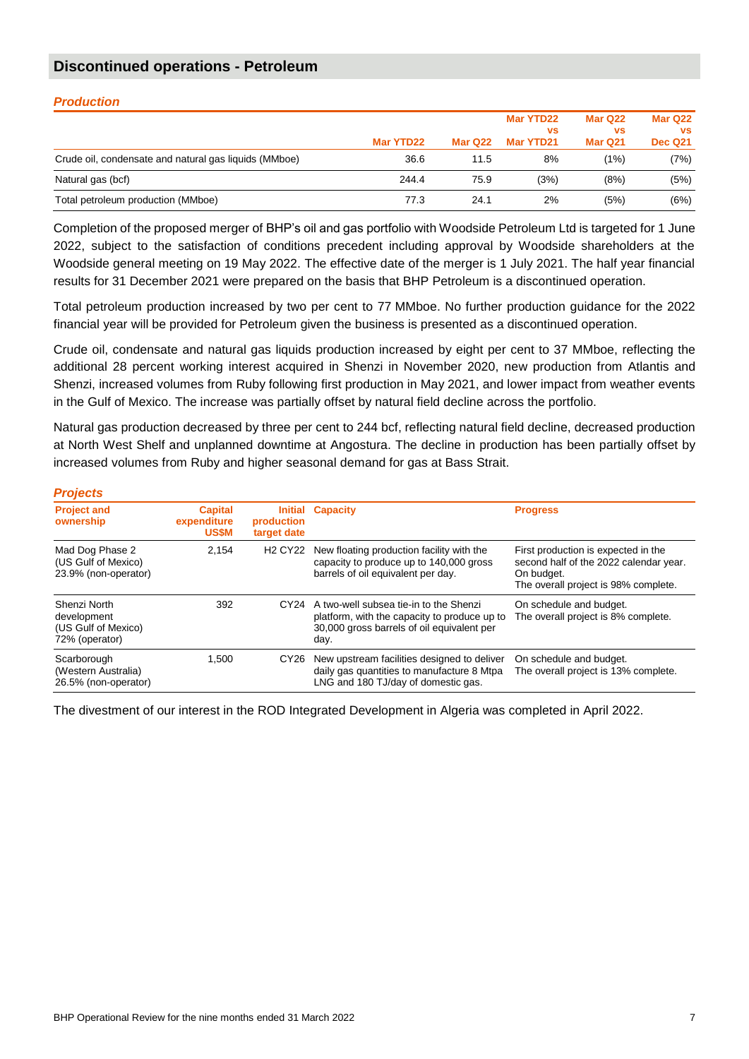# **Discontinued operations - Petroleum**

| <b>Production</b>                                     |           |         |                        |                      |                      |  |  |  |  |  |
|-------------------------------------------------------|-----------|---------|------------------------|----------------------|----------------------|--|--|--|--|--|
|                                                       |           |         | Mar YTD22<br><b>VS</b> | Mar Q22<br><b>VS</b> | Mar Q22<br><b>VS</b> |  |  |  |  |  |
|                                                       | Mar YTD22 | Mar Q22 | Mar YTD21              | Mar Q21              | <b>Dec Q21</b>       |  |  |  |  |  |
| Crude oil, condensate and natural gas liquids (MMboe) | 36.6      | 11.5    | 8%                     | (1%)                 | (7%)                 |  |  |  |  |  |
| Natural gas (bcf)                                     | 244.4     | 75.9    | (3%)                   | (8%)                 | (5%)                 |  |  |  |  |  |
| Total petroleum production (MMboe)                    | 77.3      | 24.1    | 2%                     | (5%)                 | (6%)                 |  |  |  |  |  |

Completion of the proposed merger of BHP's oil and gas portfolio with Woodside Petroleum Ltd is targeted for 1 June 2022, subject to the satisfaction of conditions precedent including approval by Woodside shareholders at the Woodside general meeting on 19 May 2022. The effective date of the merger is 1 July 2021. The half year financial results for 31 December 2021 were prepared on the basis that BHP Petroleum is a discontinued operation.

Total petroleum production increased by two per cent to 77 MMboe. No further production guidance for the 2022 financial year will be provided for Petroleum given the business is presented as a discontinued operation.

Crude oil, condensate and natural gas liquids production increased by eight per cent to 37 MMboe, reflecting the additional 28 percent working interest acquired in Shenzi in November 2020, new production from Atlantis and Shenzi, increased volumes from Ruby following first production in May 2021, and lower impact from weather events in the Gulf of Mexico. The increase was partially offset by natural field decline across the portfolio.

Natural gas production decreased by three per cent to 244 bcf, reflecting natural field decline, decreased production at North West Shelf and unplanned downtime at Angostura. The decline in production has been partially offset by increased volumes from Ruby and higher seasonal demand for gas at Bass Strait.

| <b>Projects</b>                                                      |                                               |                                       |                                                                                                                                                   |                                                                                                                                     |
|----------------------------------------------------------------------|-----------------------------------------------|---------------------------------------|---------------------------------------------------------------------------------------------------------------------------------------------------|-------------------------------------------------------------------------------------------------------------------------------------|
| <b>Project and</b><br>ownership                                      | <b>Capital</b><br>expenditure<br><b>US\$M</b> | production<br>target date             | <b>Initial Capacity</b>                                                                                                                           | <b>Progress</b>                                                                                                                     |
| Mad Dog Phase 2<br>(US Gulf of Mexico)<br>23.9% (non-operator)       | 2.154                                         | <b>H<sub>2</sub></b> CY <sub>22</sub> | New floating production facility with the<br>capacity to produce up to 140,000 gross<br>barrels of oil equivalent per day.                        | First production is expected in the<br>second half of the 2022 calendar year.<br>On budget.<br>The overall project is 98% complete. |
| Shenzi North<br>development<br>(US Gulf of Mexico)<br>72% (operator) | 392                                           |                                       | CY24 A two-well subsea tie-in to the Shenzi<br>platform, with the capacity to produce up to<br>30,000 gross barrels of oil equivalent per<br>day. | On schedule and budget.<br>The overall project is 8% complete.                                                                      |
| Scarborough<br>(Western Australia)<br>26.5% (non-operator)           | 1.500                                         | CY <sub>26</sub>                      | New upstream facilities designed to deliver<br>daily gas quantities to manufacture 8 Mtpa<br>LNG and 180 TJ/day of domestic gas.                  | On schedule and budget.<br>The overall project is 13% complete.                                                                     |

The divestment of our interest in the ROD Integrated Development in Algeria was completed in April 2022.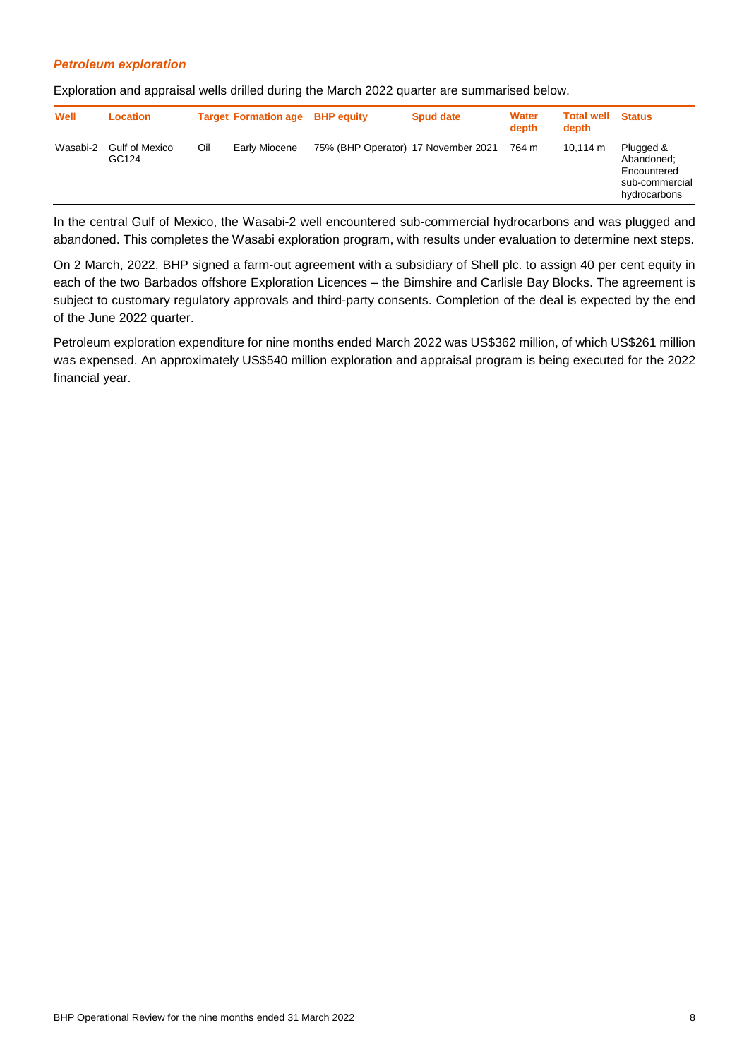### *Petroleum exploration*

Exploration and appraisal wells drilled during the March 2022 quarter are summarised below.

| Well     | Location                       |     | <b>Target Formation age BHP equity</b> |                                     | <b>Spud date</b> | <b>Water</b><br>depth | <b>Total well</b><br>depth | <b>Status</b>                                                            |
|----------|--------------------------------|-----|----------------------------------------|-------------------------------------|------------------|-----------------------|----------------------------|--------------------------------------------------------------------------|
| Wasabi-2 | <b>Gulf of Mexico</b><br>GC124 | Oil | Early Miocene                          | 75% (BHP Operator) 17 November 2021 |                  | 764 m                 | $10.114 \text{ m}$         | Plugged &<br>Abandoned:<br>Encountered<br>sub-commercial<br>hydrocarbons |

In the central Gulf of Mexico, the Wasabi-2 well encountered sub-commercial hydrocarbons and was plugged and abandoned. This completes the Wasabi exploration program, with results under evaluation to determine next steps.

On 2 March, 2022, BHP signed a farm-out agreement with a subsidiary of Shell plc. to assign 40 per cent equity in each of the two Barbados offshore Exploration Licences – the Bimshire and Carlisle Bay Blocks. The agreement is subject to customary regulatory approvals and third-party consents. Completion of the deal is expected by the end of the June 2022 quarter.

Petroleum exploration expenditure for nine months ended March 2022 was US\$362 million, of which US\$261 million was expensed. An approximately US\$540 million exploration and appraisal program is being executed for the 2022 financial year.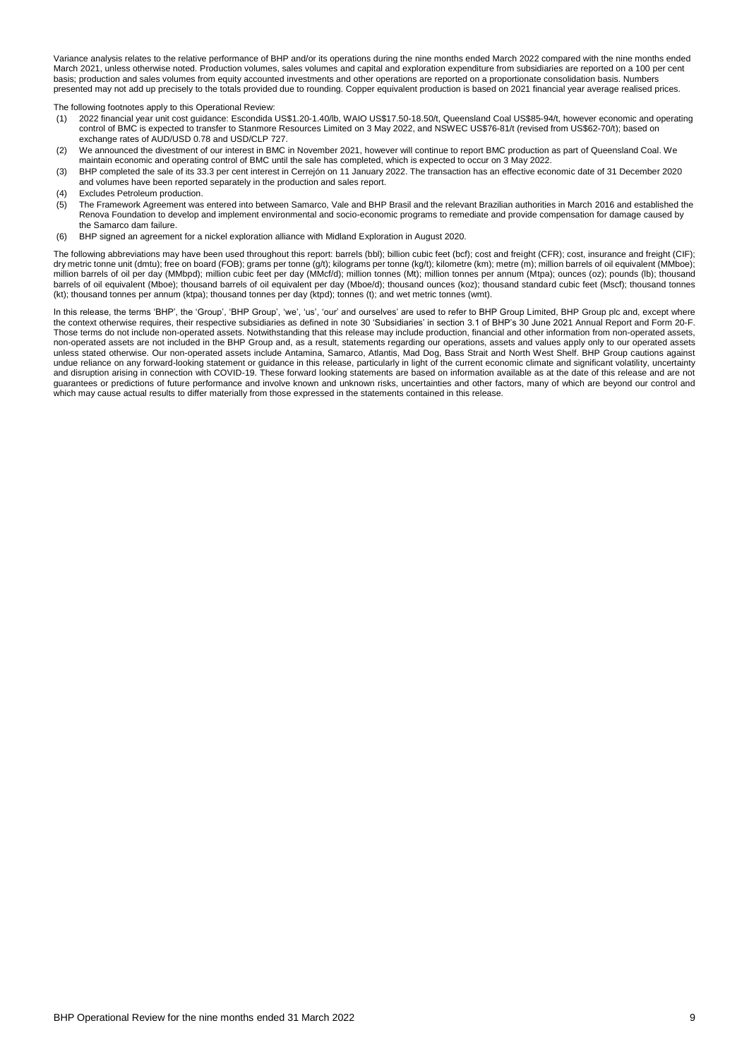Variance analysis relates to the relative performance of BHP and/or its operations during the nine months ended March 2022 compared with the nine months ended March 2021, unless otherwise noted. Production volumes, sales volumes and capital and exploration expenditure from subsidiaries are reported on a 100 per cent basis; production and sales volumes from equity accounted investments and other operations are reported on a proportionate consolidation basis. Numbers presented may not add up precisely to the totals provided due to rounding. Copper equivalent production is based on 2021 financial year average realised prices.

The following footnotes apply to this Operational Review:

- (1) 2022 financial year unit cost guidance: Escondida US\$1.20-1.40/lb, WAIO US\$17.50-18.50/t, Queensland Coal US\$85-94/t, however economic and operating control of BMC is expected to transfer to Stanmore Resources Limited on 3 May 2022, and NSWEC US\$76-81/t (revised from US\$62-70/t); based on exchange rates of AUD/USD 0.78 and USD/CLP 727.
- (2) We announced the divestment of our interest in BMC in November 2021, however will continue to report BMC production as part of Queensland Coal. We maintain economic and operating control of BMC until the sale has completed, which is expected to occur on 3 May 2022.
- (3) BHP completed the sale of its 33.3 per cent interest in Cerrejón on 11 January 2022. The transaction has an effective economic date of 31 December 2020 and volumes have been reported separately in the production and sales report.
- (4) Excludes Petroleum production.
- (5) The Framework Agreement was entered into between Samarco, Vale and BHP Brasil and the relevant Brazilian authorities in March 2016 and established the Renova Foundation to develop and implement environmental and socio-economic programs to remediate and provide compensation for damage caused by the Samarco dam failure.
- (6) BHP signed an agreement for a nickel exploration alliance with Midland Exploration in August 2020.

The following abbreviations may have been used throughout this report: barrels (bbl); billion cubic feet (bcf); cost and freight (CFR); cost, insurance and freight (CIF); dry metric tonne unit (dmtu); free on board (FOB); grams per tonne (g/t); kilograms per tonne (kg/t); kilometre (km); metre (m); million barrels of oil equivalent (MMboe); million barrels of oil per day (MMbpd); million cubic feet per day (MMcf/d); million tonnes (Mt); million tonnes per annum (Mtpa); ounces (oz); pounds (lb); thousand barrels of oil equivalent (Mboe); thousand barrels of oil equivalent per day (Mboe/d); thousand ounces (koz); thousand standard cubic feet (Mscf); thousand tonnes (kt); thousand tonnes per annum (ktpa); thousand tonnes per day (ktpd); tonnes (t); and wet metric tonnes (wmt).

In this release, the terms 'BHP', the 'Group', 'BHP Group', 'we', 'us', 'our' and ourselves' are used to refer to BHP Group Limited, BHP Group plc and, except where the context otherwise requires, their respective subsidiaries as defined in note 30 'Subsidiaries' in section 3.1 of BHP's 30 June 2021 Annual Report and Form 20-F. Those terms do not include non-operated assets. Notwithstanding that this release may include production, financial and other information from non-operated assets, non-operated assets are not included in the BHP Group and, as a result, statements regarding our operations, assets and values apply only to our operated assets unless stated otherwise. Our non-operated assets include Antamina, Samarco, Atlantis, Mad Dog, Bass Strait and North West Shelf. BHP Group cautions against undue reliance on any forward-looking statement or guidance in this release, particularly in light of the current economic climate and significant volatility, uncertainty and disruption arising in connection with COVID-19. These forward looking statements are based on information available as at the date of this release and are not guarantees or predictions of future performance and involve known and unknown risks, uncertainties and other factors, many of which are beyond our control and which may cause actual results to differ materially from those expressed in the statements contained in this release.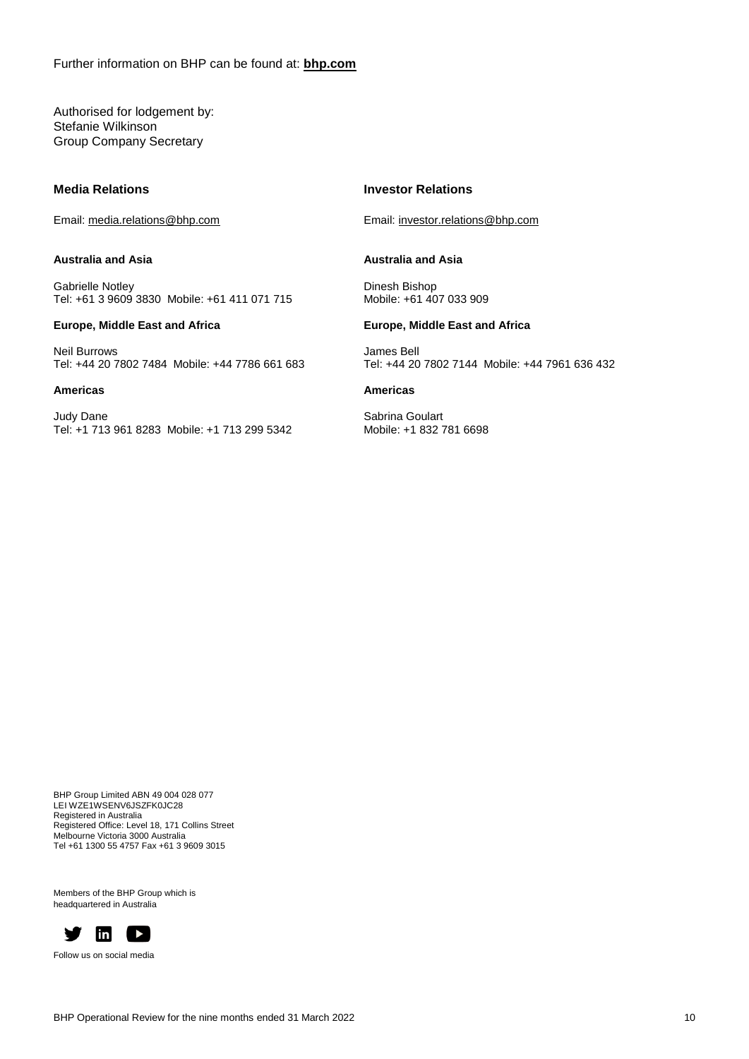Further information on BHP can be found at: **[bhp.com](http://www.bhp.com/)**

Authorised for lodgement by: Stefanie Wilkinson Group Company Secretary

#### **Media Relations**

Email: media.relations@bhp.com

#### **Australia and Asia**

Gabrielle Notley Tel: +61 3 9609 3830 Mobile: +61 411 071 715

#### **Europe, Middle East and Africa**

Neil Burrows Tel: +44 20 7802 7484 Mobile: +44 7786 661 683

#### **Americas**

Judy Dane Tel: +1 713 961 8283 Mobile: +1 713 299 5342

#### **Investor Relations**

Email: investor.relations@bhp.com

#### **Australia and Asia**

Dinesh Bishop Mobile: +61 407 033 909

#### **Europe, Middle East and Africa**

James Bell Tel: +44 20 7802 7144 Mobile: +44 7961 636 432

#### **Americas**

Sabrina Goulart Mobile: +1 832 781 6698

BHP Group Limited ABN 49 004 028 077 LEI WZE1WSENV6JSZFK0JC28 Registered in Australia Registered Office: Level 18, 171 Collins Street Melbourne Victoria 3000 Australia Tel +61 1300 55 4757 Fax +61 3 9609 3015

Members of the BHP Group which is headquartered in Australia



Follow us on social media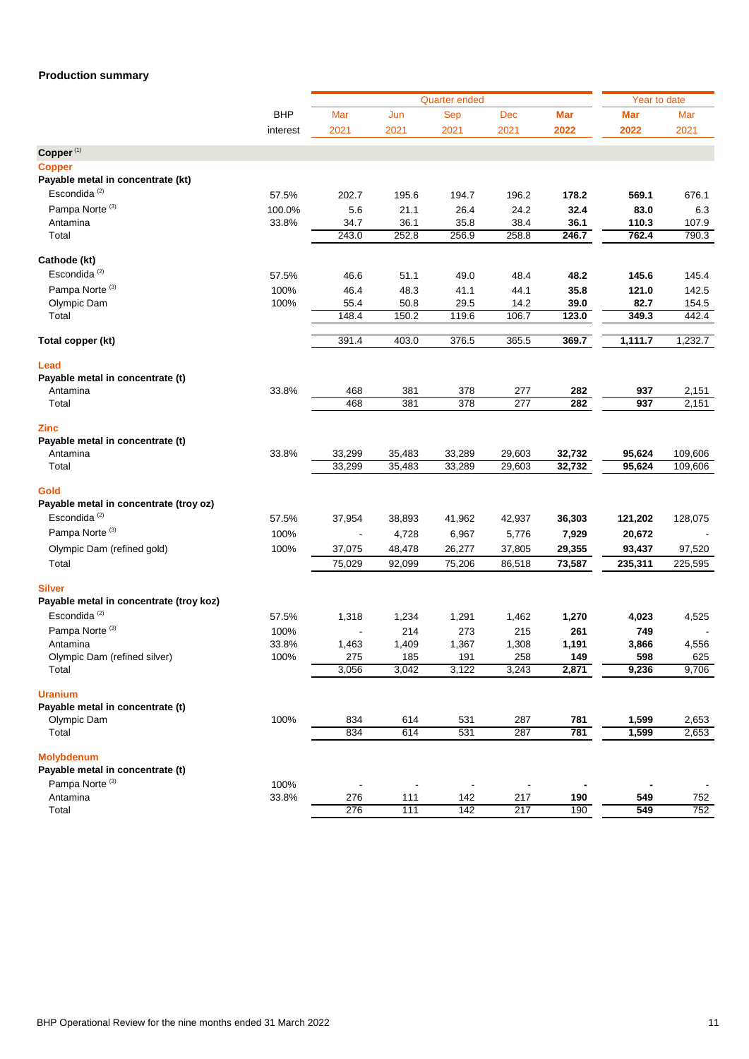# **Production summary**

|                                         |            |        |        | Year to date                |                  |            |            |         |
|-----------------------------------------|------------|--------|--------|-----------------------------|------------------|------------|------------|---------|
|                                         | <b>BHP</b> | Mar    | Jun    | <b>Quarter ended</b><br>Sep | Dec              | <b>Mar</b> | <b>Mar</b> | Mar     |
|                                         | interest   | 2021   | 2021   | 2021                        | 2021             | 2022       | 2022       | 2021    |
| Copper <sup>(1)</sup>                   |            |        |        |                             |                  |            |            |         |
| <b>Copper</b>                           |            |        |        |                             |                  |            |            |         |
| Payable metal in concentrate (kt)       |            |        |        |                             |                  |            |            |         |
| Escondida <sup>(2)</sup>                | 57.5%      | 202.7  | 195.6  | 194.7                       | 196.2            | 178.2      | 569.1      | 676.1   |
| Pampa Norte <sup>(3)</sup>              | 100.0%     | 5.6    | 21.1   | 26.4                        | 24.2             | 32.4       | 83.0       | 6.3     |
| Antamina                                | 33.8%      | 34.7   | 36.1   | 35.8                        | 38.4             | 36.1       | 110.3      | 107.9   |
| Total                                   |            | 243.0  | 252.8  | 256.9                       | 258.8            | 246.7      | 762.4      | 790.3   |
| Cathode (kt)                            |            |        |        |                             |                  |            |            |         |
| Escondida <sup>(2)</sup>                | 57.5%      | 46.6   | 51.1   | 49.0                        | 48.4             | 48.2       | 145.6      | 145.4   |
| Pampa Norte <sup>(3)</sup>              | 100%       | 46.4   | 48.3   | 41.1                        | 44.1             | 35.8       | 121.0      | 142.5   |
| Olympic Dam                             | 100%       | 55.4   | 50.8   | 29.5                        | 14.2             | 39.0       | 82.7       | 154.5   |
| Total                                   |            | 148.4  | 150.2  | 119.6                       | 106.7            | 123.0      | 349.3      | 442.4   |
| Total copper (kt)                       |            | 391.4  | 403.0  | 376.5                       | 365.5            | 369.7      | 1,111.7    | 1,232.7 |
| Lead                                    |            |        |        |                             |                  |            |            |         |
| Payable metal in concentrate (t)        |            |        |        |                             |                  |            |            |         |
| Antamina                                | 33.8%      | 468    | 381    | 378                         | 277              | 282        | 937        | 2,151   |
| Total                                   |            | 468    | 381    | 378                         | $\overline{277}$ | 282        | 937        | 2,151   |
| <b>Zinc</b>                             |            |        |        |                             |                  |            |            |         |
| Payable metal in concentrate (t)        |            |        |        |                             |                  |            |            |         |
| Antamina                                | 33.8%      | 33,299 | 35,483 | 33,289                      | 29,603           | 32,732     | 95,624     | 109,606 |
| Total                                   |            | 33,299 | 35,483 | 33,289                      | 29,603           | 32,732     | 95,624     | 109,606 |
| Gold                                    |            |        |        |                             |                  |            |            |         |
| Payable metal in concentrate (troy oz)  |            |        |        |                             |                  |            |            |         |
| Escondida <sup>(2)</sup>                | 57.5%      | 37,954 | 38,893 | 41,962                      | 42,937           | 36,303     | 121,202    | 128,075 |
| Pampa Norte <sup>(3)</sup>              | 100%       |        | 4,728  | 6,967                       | 5,776            | 7,929      | 20,672     |         |
| Olympic Dam (refined gold)              | 100%       | 37,075 | 48,478 | 26,277                      | 37,805           | 29,355     | 93,437     | 97,520  |
| Total                                   |            | 75,029 | 92,099 | 75,206                      | 86,518           | 73,587     | 235,311    | 225,595 |
| <b>Silver</b>                           |            |        |        |                             |                  |            |            |         |
| Payable metal in concentrate (troy koz) |            |        |        |                             |                  |            |            |         |
| Escondida <sup>(2)</sup>                | 57.5%      | 1,318  | 1,234  | 1,291                       | 1,462            | 1,270      | 4,023      | 4,525   |
| Pampa Norte <sup>(3)</sup>              | 100%       |        | 214    | 273                         | 215              | 261        | 749        |         |
| Antamina                                | 33.8%      | 1,463  | 1,409  | 1,367                       | 1,308            | 1,191      | 3,866      | 4,556   |
| Olympic Dam (refined silver)            | 100%       | 275    | 185    | 191                         | 258              | 149        | 598        | 625     |
| Total                                   |            | 3,056  | 3,042  | 3,122                       | 3,243            | 2,871      | 9,236      | 9,706   |
| <b>Uranium</b>                          |            |        |        |                             |                  |            |            |         |
| Payable metal in concentrate (t)        |            |        |        |                             |                  |            |            |         |
| Olympic Dam                             | 100%       | 834    | 614    | 531                         | 287              | 781        | 1,599      | 2,653   |
| Total                                   |            | 834    | 614    | 531                         | 287              | 781        | 1,599      | 2,653   |
| <b>Molybdenum</b>                       |            |        |        |                             |                  |            |            |         |
| Payable metal in concentrate (t)        |            |        |        |                             |                  |            |            |         |
| Pampa Norte <sup>(3)</sup>              | 100%       |        |        |                             |                  |            |            |         |
| Antamina                                | 33.8%      | 276    | 111    | 142                         | 217              | 190        | 549        | 752     |
| Total                                   |            | 276    | 111    | 142                         | 217              | 190        | 549        | 752     |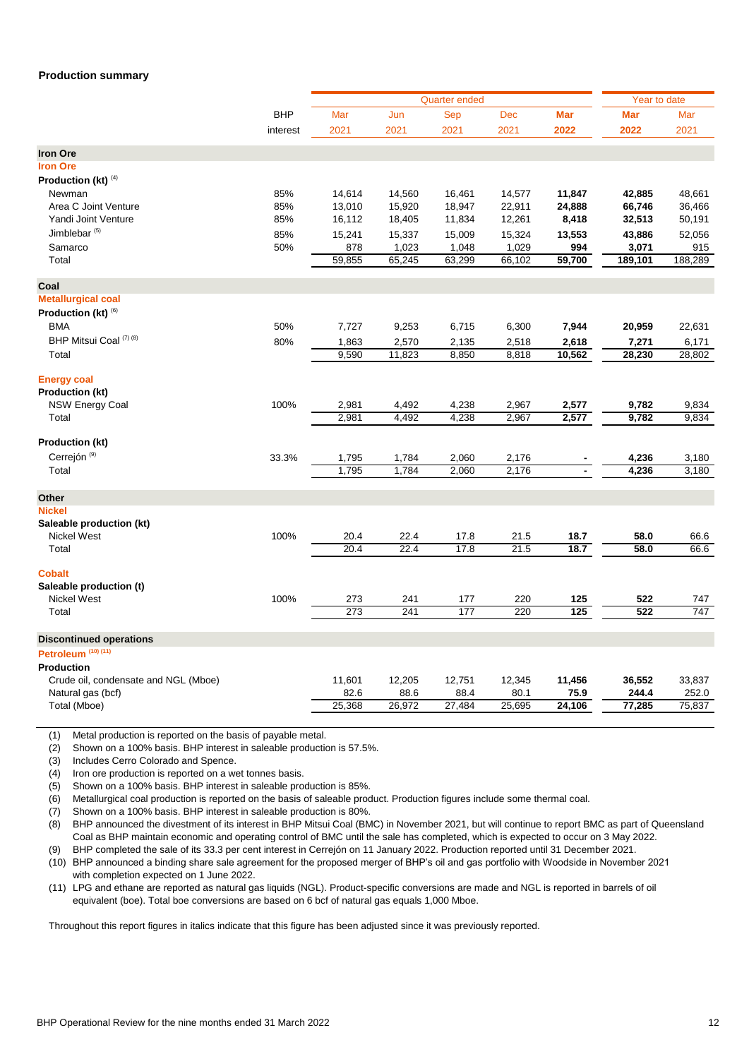#### **Production summary**

|                                         |            |        | <b>Quarter ended</b> | Year to date |            |                |         |         |
|-----------------------------------------|------------|--------|----------------------|--------------|------------|----------------|---------|---------|
|                                         | <b>BHP</b> | Mar    | Jun                  | Sep          | <b>Dec</b> | <b>Mar</b>     | Mar     | Mar     |
|                                         | interest   | 2021   | 2021                 | 2021         | 2021       | 2022           | 2022    | 2021    |
| <b>Iron Ore</b>                         |            |        |                      |              |            |                |         |         |
| <b>Iron Ore</b>                         |            |        |                      |              |            |                |         |         |
| Production (kt) (4)                     |            |        |                      |              |            |                |         |         |
| Newman                                  | 85%        | 14,614 | 14,560               | 16,461       | 14,577     | 11,847         | 42,885  | 48,661  |
| Area C Joint Venture                    | 85%        | 13,010 | 15,920               | 18,947       | 22,911     | 24,888         | 66,746  | 36,466  |
| Yandi Joint Venture                     | 85%        | 16,112 | 18,405               | 11,834       | 12,261     | 8,418          | 32,513  | 50,191  |
| Jimblebar <sup>(5)</sup>                | 85%        | 15,241 | 15,337               | 15,009       | 15,324     | 13,553         | 43,886  | 52,056  |
| Samarco                                 | 50%        | 878    | 1,023                | 1,048        | 1,029      | 994            | 3,071   | 915     |
| Total                                   |            | 59,855 | 65,245               | 63,299       | 66,102     | 59,700         | 189,101 | 188,289 |
| Coal                                    |            |        |                      |              |            |                |         |         |
| <b>Metallurgical coal</b>               |            |        |                      |              |            |                |         |         |
| Production (kt) (6)                     |            |        |                      |              |            |                |         |         |
| <b>BMA</b>                              | 50%        | 7,727  | 9,253                | 6,715        | 6,300      | 7,944          | 20,959  | 22,631  |
| BHP Mitsui Coal (7) (8)                 | 80%        | 1,863  | 2,570                | 2,135        | 2,518      | 2,618          | 7,271   | 6,171   |
| Total                                   |            | 9,590  | 11,823               | 8,850        | 8,818      | 10,562         | 28,230  | 28,802  |
| <b>Energy coal</b>                      |            |        |                      |              |            |                |         |         |
| Production (kt)                         |            |        |                      |              |            |                |         |         |
| <b>NSW Energy Coal</b>                  | 100%       | 2,981  | 4,492                | 4,238        | 2,967      | 2,577          | 9,782   | 9,834   |
| Total                                   |            | 2,981  | 4,492                | 4,238        | 2,967      | 2,577          | 9,782   | 9,834   |
| Production (kt)                         |            |        |                      |              |            |                |         |         |
| Cerrejón <sup>(9)</sup>                 | 33.3%      | 1,795  | 1,784                | 2,060        | 2,176      |                | 4,236   | 3,180   |
| Total                                   |            | 1,795  | 1,784                | 2,060        | 2,176      | $\blacksquare$ | 4,236   | 3,180   |
|                                         |            |        |                      |              |            |                |         |         |
| Other                                   |            |        |                      |              |            |                |         |         |
| <b>Nickel</b>                           |            |        |                      |              |            |                |         |         |
| Saleable production (kt)<br>Nickel West | 100%       | 20.4   | 22.4                 | 17.8         | 21.5       | 18.7           | 58.0    | 66.6    |
| Total                                   |            | 20.4   | 22.4                 | 17.8         | 21.5       | 18.7           | 58.0    | 66.6    |
|                                         |            |        |                      |              |            |                |         |         |
| <b>Cobalt</b>                           |            |        |                      |              |            |                |         |         |
| Saleable production (t)                 |            |        |                      |              |            |                |         |         |
| Nickel West                             | 100%       | 273    | 241                  | 177          | 220        | 125            | 522     | 747     |
| Total                                   |            | 273    | 241                  | 177          | 220        | 125            | 522     | 747     |
| <b>Discontinued operations</b>          |            |        |                      |              |            |                |         |         |
| Petroleum <sup>(10)(11)</sup>           |            |        |                      |              |            |                |         |         |
| <b>Production</b>                       |            |        |                      |              |            |                |         |         |
| Crude oil, condensate and NGL (Mboe)    |            | 11,601 | 12,205               | 12,751       | 12,345     | 11,456         | 36,552  | 33,837  |
| Natural gas (bcf)                       |            | 82.6   | 88.6                 | 88.4         | 80.1       | 75.9           | 244.4   | 252.0   |
| Total (Mboe)                            |            | 25,368 | 26,972               | 27,484       | 25,695     | 24,106         | 77,285  | 75,837  |
|                                         |            |        |                      |              |            |                |         |         |

(1) Metal production is reported on the basis of payable metal.

(2) Shown on a 100% basis. BHP interest in saleable production is 57.5%.

(3) Includes Cerro Colorado and Spence.

(4) Iron ore production is reported on a wet tonnes basis.

(5) Shown on a 100% basis. BHP interest in saleable production is 85%.

(6) Metallurgical coal production is reported on the basis of saleable product. Production figures include some thermal coal.

(7) Shown on a 100% basis. BHP interest in saleable production is 80%.

(8) BHP announced the divestment of its interest in BHP Mitsui Coal (BMC) in November 2021, but will continue to report BMC as part of Queensland Coal as BHP maintain economic and operating control of BMC until the sale has completed, which is expected to occur on 3 May 2022.

(9) BHP completed the sale of its 33.3 per cent interest in Cerrejón on 11 January 2022. Production reported until 31 December 2021.

(10) BHP announced a binding share sale agreement for the proposed merger of BHP's oil and gas portfolio with Woodside in November 2021 with completion expected on 1 June 2022.

(11) LPG and ethane are reported as natural gas liquids (NGL). Product-specific conversions are made and NGL is reported in barrels of oil equivalent (boe). Total boe conversions are based on 6 bcf of natural gas equals 1,000 Mboe.

Throughout this report figures in italics indicate that this figure has been adjusted since it was previously reported.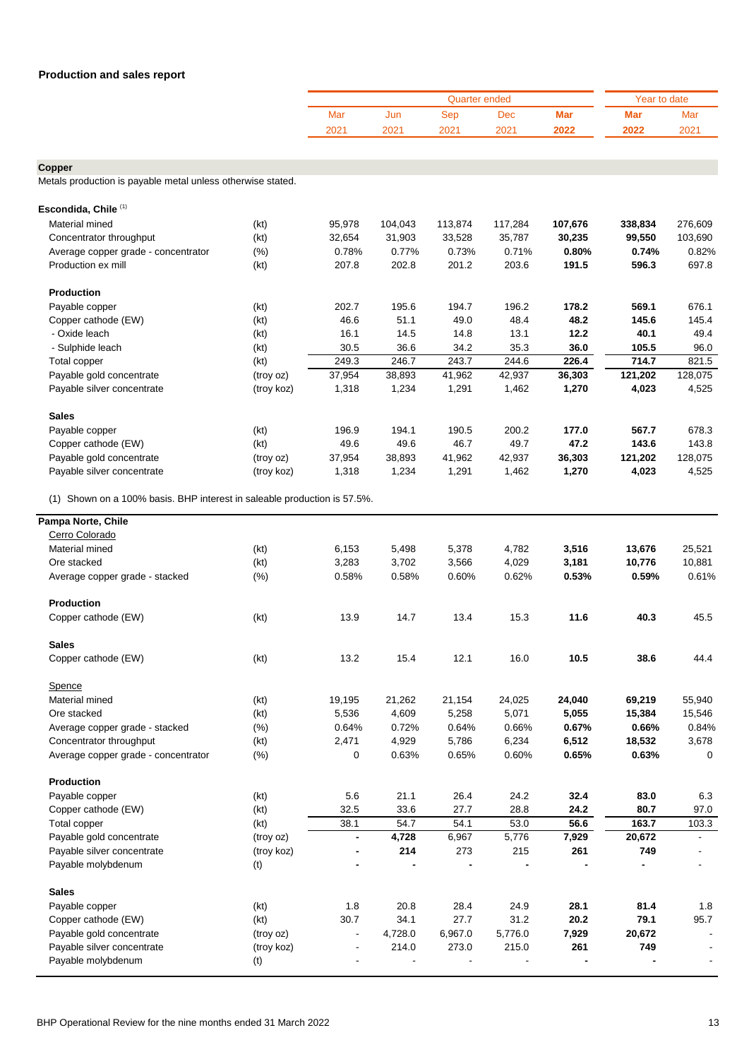| <b>Production and sales report</b>                          |            |        |         |                      |         |            |              |         |
|-------------------------------------------------------------|------------|--------|---------|----------------------|---------|------------|--------------|---------|
|                                                             |            |        |         | <b>Quarter ended</b> |         |            | Year to date |         |
|                                                             |            | Mar    | Jun     | Sep                  | Dec     | <b>Mar</b> | <b>Mar</b>   | Mar     |
|                                                             |            | 2021   | 2021    | 2021                 | 2021    | 2022       | 2022         | 2021    |
|                                                             |            |        |         |                      |         |            |              |         |
| Copper                                                      |            |        |         |                      |         |            |              |         |
| Metals production is payable metal unless otherwise stated. |            |        |         |                      |         |            |              |         |
| Escondida, Chile <sup>(1)</sup>                             |            |        |         |                      |         |            |              |         |
| Material mined                                              | (kt)       | 95,978 | 104,043 | 113,874              | 117,284 | 107,676    | 338,834      | 276,609 |
| Concentrator throughput                                     | (kt)       | 32,654 | 31,903  | 33,528               | 35,787  | 30,235     | 99,550       | 103,690 |
| Average copper grade - concentrator                         | (%)        | 0.78%  | 0.77%   | 0.73%                | 0.71%   | 0.80%      | 0.74%        | 0.82%   |
| Production ex mill                                          | (kt)       | 207.8  | 202.8   | 201.2                | 203.6   | 191.5      | 596.3        | 697.8   |
| <b>Production</b>                                           |            |        |         |                      |         |            |              |         |
| Payable copper                                              | (kt)       | 202.7  | 195.6   | 194.7                | 196.2   | 178.2      | 569.1        | 676.1   |
| Copper cathode (EW)                                         | (kt)       | 46.6   | 51.1    | 49.0                 | 48.4    | 48.2       | 145.6        | 145.4   |
| - Oxide leach                                               | (kt)       | 16.1   | 14.5    | 14.8                 | 13.1    | 12.2       | 40.1         | 49.4    |
| - Sulphide leach                                            | (kt)       | 30.5   | 36.6    | 34.2                 | 35.3    | 36.0       | 105.5        | 96.0    |
| Total copper                                                | (kt)       | 249.3  | 246.7   | 243.7                | 244.6   | 226.4      | 714.7        | 821.5   |
| Payable gold concentrate                                    | (troy oz)  | 37,954 | 38,893  | 41,962               | 42,937  | 36,303     | 121,202      | 128,075 |
| Payable silver concentrate                                  | (troy koz) | 1,318  | 1,234   | 1,291                | 1,462   | 1,270      | 4,023        | 4,525   |
| <b>Sales</b>                                                |            |        |         |                      |         |            |              |         |
| Payable copper                                              | (kt)       | 196.9  | 194.1   | 190.5                | 200.2   | 177.0      | 567.7        | 678.3   |
| Copper cathode (EW)                                         | (kt)       | 49.6   | 49.6    | 46.7                 | 49.7    | 47.2       | 143.6        | 143.8   |
| Payable gold concentrate                                    | (troy oz)  | 37,954 | 38,893  | 41,962               | 42,937  | 36,303     | 121,202      | 128,075 |
| Payable silver concentrate                                  | (troy koz) | 1,318  | 1,234   | 1,291                | 1,462   | 1,270      | 4,023        | 4,525   |

(1) Shown on a 100% basis. BHP interest in saleable production is 57.5%.

| Pampa Norte, Chile                  |            |                          |         |         |         |        |        |                |
|-------------------------------------|------------|--------------------------|---------|---------|---------|--------|--------|----------------|
| Cerro Colorado                      |            |                          |         |         |         |        |        |                |
| Material mined                      | (kt)       | 6,153                    | 5,498   | 5,378   | 4,782   | 3,516  | 13,676 | 25,521         |
| Ore stacked                         | (kt)       | 3,283                    | 3,702   | 3,566   | 4,029   | 3,181  | 10,776 | 10,881         |
| Average copper grade - stacked      | (%)        | 0.58%                    | 0.58%   | 0.60%   | 0.62%   | 0.53%  | 0.59%  | 0.61%          |
| <b>Production</b>                   |            |                          |         |         |         |        |        |                |
| Copper cathode (EW)                 | (kt)       | 13.9                     | 14.7    | 13.4    | 15.3    | 11.6   | 40.3   | 45.5           |
| <b>Sales</b>                        |            |                          |         |         |         |        |        |                |
| Copper cathode (EW)                 | (kt)       | 13.2                     | 15.4    | 12.1    | 16.0    | 10.5   | 38.6   | 44.4           |
| Spence                              |            |                          |         |         |         |        |        |                |
| Material mined                      | (kt)       | 19,195                   | 21,262  | 21,154  | 24,025  | 24,040 | 69,219 | 55,940         |
| Ore stacked                         | (kt)       | 5,536                    | 4,609   | 5,258   | 5,071   | 5,055  | 15,384 | 15,546         |
| Average copper grade - stacked      | (% )       | 0.64%                    | 0.72%   | 0.64%   | 0.66%   | 0.67%  | 0.66%  | 0.84%          |
| Concentrator throughput             | (kt)       | 2,471                    | 4,929   | 5,786   | 6,234   | 6,512  | 18,532 | 3,678          |
| Average copper grade - concentrator | (% )       | $\mathbf 0$              | 0.63%   | 0.65%   | 0.60%   | 0.65%  | 0.63%  | $\Omega$       |
| <b>Production</b>                   |            |                          |         |         |         |        |        |                |
| Payable copper                      | (kt)       | 5.6                      | 21.1    | 26.4    | 24.2    | 32.4   | 83.0   | 6.3            |
| Copper cathode (EW)                 | (kt)       | 32.5                     | 33.6    | 27.7    | 28.8    | 24.2   | 80.7   | 97.0           |
| Total copper                        | (kt)       | 38.1                     | 54.7    | 54.1    | 53.0    | 56.6   | 163.7  | 103.3          |
| Payable gold concentrate            | (troy oz)  | $\overline{\phantom{0}}$ | 4,728   | 6,967   | 5,776   | 7,929  | 20,672 | $\blacksquare$ |
| Payable silver concentrate          | (troy koz) |                          | 214     | 273     | 215     | 261    | 749    |                |
| Payable molybdenum                  | (t)        |                          |         |         |         |        |        |                |
| <b>Sales</b>                        |            |                          |         |         |         |        |        |                |
| Payable copper                      | (kt)       | 1.8                      | 20.8    | 28.4    | 24.9    | 28.1   | 81.4   | 1.8            |
| Copper cathode (EW)                 | (kt)       | 30.7                     | 34.1    | 27.7    | 31.2    | 20.2   | 79.1   | 95.7           |
| Payable gold concentrate            | (troy oz)  | $\blacksquare$           | 4,728.0 | 6,967.0 | 5,776.0 | 7,929  | 20,672 | $\blacksquare$ |
| Payable silver concentrate          | (troy koz) |                          | 214.0   | 273.0   | 215.0   | 261    | 749    |                |
| Payable molybdenum                  | (t)        |                          |         |         |         |        |        |                |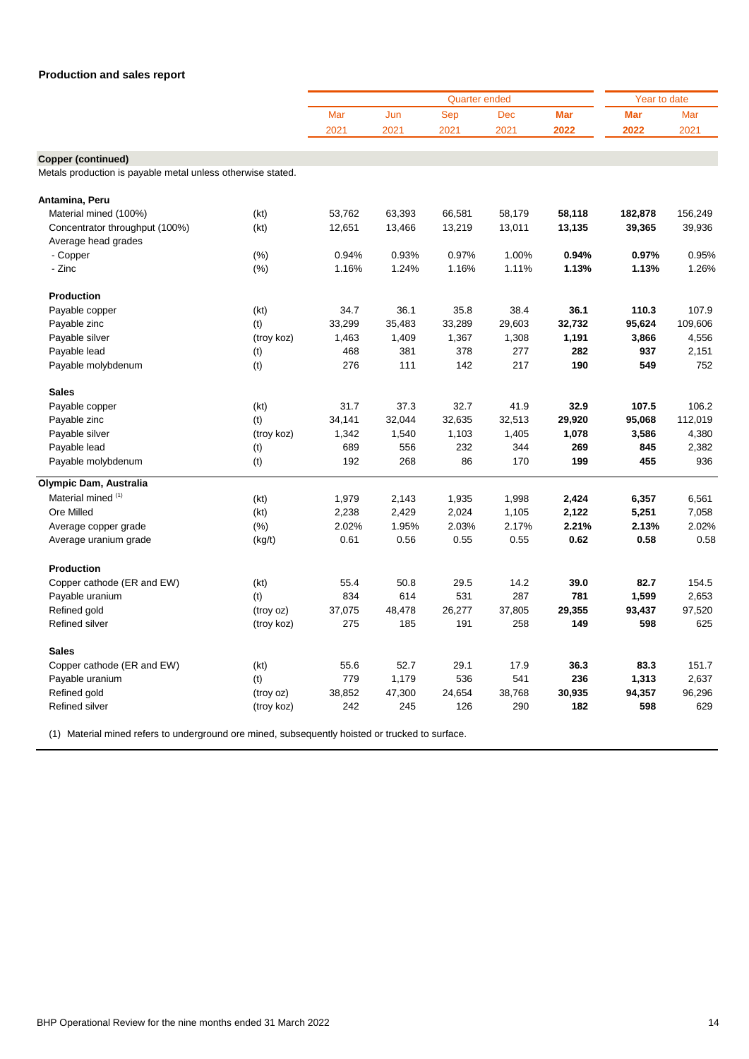|                                                             |            |        |        | <b>Quarter ended</b> |        |        | Year to date |         |  |
|-------------------------------------------------------------|------------|--------|--------|----------------------|--------|--------|--------------|---------|--|
|                                                             |            | Mar    | Jun    | <b>Sep</b>           | Dec    | Mar    | <b>Mar</b>   | Mar     |  |
|                                                             |            | 2021   | 2021   | 2021                 | 2021   | 2022   | 2022         | 2021    |  |
|                                                             |            |        |        |                      |        |        |              |         |  |
| Copper (continued)                                          |            |        |        |                      |        |        |              |         |  |
| Metals production is payable metal unless otherwise stated. |            |        |        |                      |        |        |              |         |  |
| Antamina, Peru                                              |            |        |        |                      |        |        |              |         |  |
| Material mined (100%)                                       | (kt)       | 53,762 | 63,393 | 66,581               | 58,179 | 58,118 | 182,878      | 156,249 |  |
| Concentrator throughput (100%)                              | (kt)       | 12,651 | 13,466 | 13,219               | 13,011 | 13,135 | 39,365       | 39,936  |  |
| Average head grades                                         |            |        |        |                      |        |        |              |         |  |
| - Copper                                                    | (% )       | 0.94%  | 0.93%  | 0.97%                | 1.00%  | 0.94%  | 0.97%        | 0.95%   |  |
| - Zinc                                                      | (% )       | 1.16%  | 1.24%  | 1.16%                | 1.11%  | 1.13%  | 1.13%        | 1.26%   |  |
| <b>Production</b>                                           |            |        |        |                      |        |        |              |         |  |
| Payable copper                                              | (kt)       | 34.7   | 36.1   | 35.8                 | 38.4   | 36.1   | 110.3        | 107.9   |  |
| Payable zinc                                                | (t)        | 33,299 | 35,483 | 33,289               | 29,603 | 32,732 | 95,624       | 109.606 |  |
| Payable silver                                              | (troy koz) | 1,463  | 1,409  | 1,367                | 1,308  | 1,191  | 3,866        | 4,556   |  |
| Payable lead                                                | (t)        | 468    | 381    | 378                  | 277    | 282    | 937          | 2,151   |  |
| Payable molybdenum                                          | (t)        | 276    | 111    | 142                  | 217    | 190    | 549          | 752     |  |
| <b>Sales</b>                                                |            |        |        |                      |        |        |              |         |  |
| Payable copper                                              | (kt)       | 31.7   | 37.3   | 32.7                 | 41.9   | 32.9   | 107.5        | 106.2   |  |
| Payable zinc                                                | (t)        | 34,141 | 32,044 | 32,635               | 32,513 | 29,920 | 95,068       | 112,019 |  |
| Payable silver                                              | (troy koz) | 1,342  | 1,540  | 1,103                | 1,405  | 1,078  | 3,586        | 4,380   |  |
| Payable lead                                                | (t)        | 689    | 556    | 232                  | 344    | 269    | 845          | 2,382   |  |
| Payable molybdenum                                          | (t)        | 192    | 268    | 86                   | 170    | 199    | 455          | 936     |  |
| Olympic Dam, Australia                                      |            |        |        |                      |        |        |              |         |  |
| Material mined (1)                                          | (kt)       | 1,979  | 2,143  | 1,935                | 1,998  | 2,424  | 6,357        | 6,561   |  |
| Ore Milled                                                  | (kt)       | 2,238  | 2,429  | 2,024                | 1,105  | 2,122  | 5,251        | 7,058   |  |
| Average copper grade                                        | (% )       | 2.02%  | 1.95%  | 2.03%                | 2.17%  | 2.21%  | 2.13%        | 2.02%   |  |
| Average uranium grade                                       | (kg/t)     | 0.61   | 0.56   | 0.55                 | 0.55   | 0.62   | 0.58         | 0.58    |  |
| <b>Production</b>                                           |            |        |        |                      |        |        |              |         |  |
| Copper cathode (ER and EW)                                  | (kt)       | 55.4   | 50.8   | 29.5                 | 14.2   | 39.0   | 82.7         | 154.5   |  |
| Payable uranium                                             | (t)        | 834    | 614    | 531                  | 287    | 781    | 1,599        | 2,653   |  |
| Refined gold                                                | (troy oz)  | 37,075 | 48,478 | 26,277               | 37,805 | 29,355 | 93,437       | 97,520  |  |
| <b>Refined silver</b>                                       | (troy koz) | 275    | 185    | 191                  | 258    | 149    | 598          | 625     |  |
| <b>Sales</b>                                                |            |        |        |                      |        |        |              |         |  |
| Copper cathode (ER and EW)                                  | (kt)       | 55.6   | 52.7   | 29.1                 | 17.9   | 36.3   | 83.3         | 151.7   |  |
| Payable uranium                                             | (t)        | 779    | 1,179  | 536                  | 541    | 236    | 1,313        | 2,637   |  |
| Refined gold                                                | (troy oz)  | 38,852 | 47,300 | 24,654               | 38,768 | 30,935 | 94,357       | 96,296  |  |
| <b>Refined silver</b>                                       | (troy koz) | 242    | 245    | 126                  | 290    | 182    | 598          | 629     |  |
|                                                             |            |        |        |                      |        |        |              |         |  |

(1) Material mined refers to underground ore mined, subsequently hoisted or trucked to surface.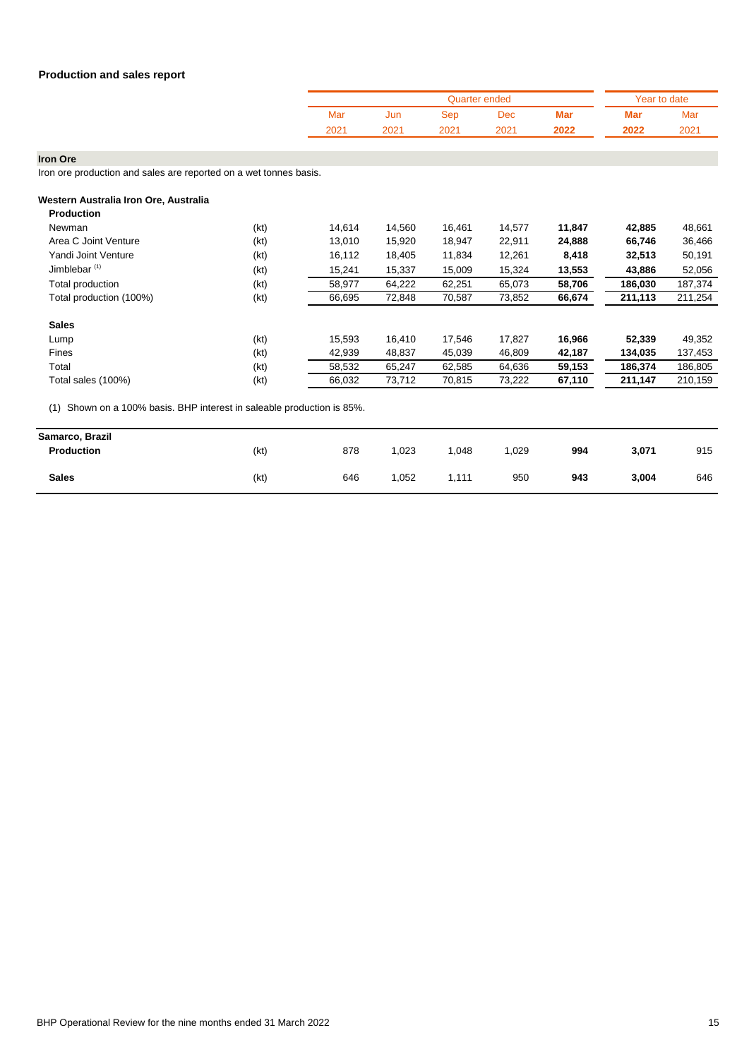|      |      | Quarter ended |      | Year to date |      |      |
|------|------|---------------|------|--------------|------|------|
| Mar  | Jun  | Sep           | Dec  | Mar          | Mar  | Mar  |
| 2021 | 2021 | 2021          | 2021 | 2022         | 2022 | 2021 |

**Iron Ore**

Iron ore production and sales are reported on a wet tonnes basis.

| Western Australia Iron Ore, Australia<br><b>Production</b> |      |        |        |        |        |        |         |         |
|------------------------------------------------------------|------|--------|--------|--------|--------|--------|---------|---------|
| Newman                                                     | (kt) | 14.614 | 14,560 | 16.461 | 14,577 | 11,847 | 42,885  | 48,661  |
| Area C Joint Venture                                       | (kt) | 13,010 | 15,920 | 18,947 | 22,911 | 24,888 | 66,746  | 36,466  |
| Yandi Joint Venture                                        | (kt) | 16,112 | 18,405 | 11,834 | 12,261 | 8,418  | 32,513  | 50,191  |
| Jimblebar <sup>(1)</sup>                                   | (kt) | 15,241 | 15,337 | 15,009 | 15,324 | 13,553 | 43,886  | 52,056  |
| Total production                                           | (kt) | 58,977 | 64,222 | 62,251 | 65,073 | 58,706 | 186,030 | 187,374 |
| Total production (100%)                                    | (kt) | 66,695 | 72,848 | 70,587 | 73,852 | 66,674 | 211,113 | 211,254 |
| <b>Sales</b>                                               |      |        |        |        |        |        |         |         |
| Lump                                                       | (kt) | 15,593 | 16,410 | 17,546 | 17,827 | 16,966 | 52,339  | 49,352  |
| Fines                                                      | (kt) | 42,939 | 48,837 | 45,039 | 46,809 | 42,187 | 134,035 | 137,453 |
| Total                                                      | (kt) | 58,532 | 65,247 | 62,585 | 64,636 | 59,153 | 186,374 | 186,805 |
| Total sales (100%)                                         | (kt) | 66,032 | 73,712 | 70,815 | 73,222 | 67,110 | 211,147 | 210,159 |

| Samarco, Brazil<br>Production | (kt) | 878 | ,023 | ,048  | ,029 | 994 | 3,071 | 915 |
|-------------------------------|------|-----|------|-------|------|-----|-------|-----|
| <b>Sales</b>                  | (kt) | 646 | ,052 | 111.، | 950  | 943 | 3,004 | 646 |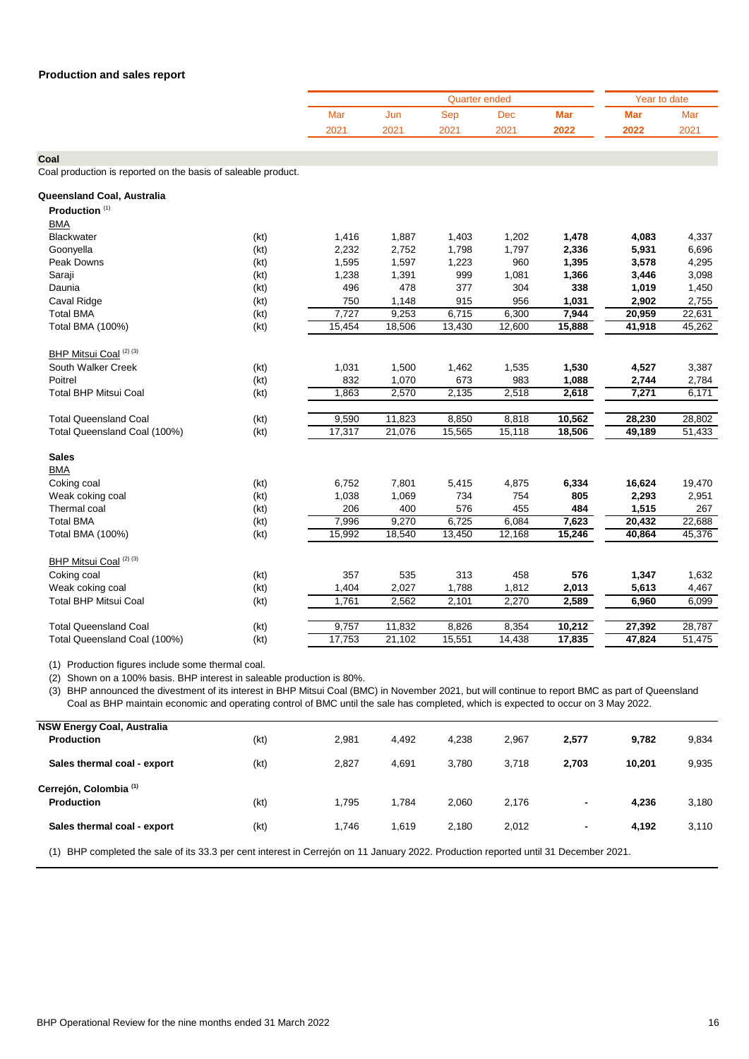|      |      | Year to date |      |      |      |      |
|------|------|--------------|------|------|------|------|
| Mar  | Jun  | Sep          | Dec  | Mar  | Mar  | Mar  |
| 2021 | 2021 | 2021         | 2021 | 2022 | 2022 | 2021 |

**Coal**

Coal production is reported on the basis of saleable product.

| Queensland Coal, Australia        |      |        |        |        |        |        |        |        |
|-----------------------------------|------|--------|--------|--------|--------|--------|--------|--------|
| Production <sup>(1)</sup>         |      |        |        |        |        |        |        |        |
| <b>BMA</b>                        |      |        |        |        |        |        |        |        |
| Blackwater                        | (kt) | 1,416  | 1,887  | 1,403  | 1,202  | 1,478  | 4,083  | 4,337  |
| Goonyella                         | (kt) | 2,232  | 2,752  | 1,798  | 1,797  | 2,336  | 5,931  | 6,696  |
| Peak Downs                        | (kt) | 1,595  | 1,597  | 1,223  | 960    | 1,395  | 3,578  | 4,295  |
| Saraji                            | (kt) | 1,238  | 1,391  | 999    | 1,081  | 1,366  | 3,446  | 3,098  |
| Daunia                            | (kt) | 496    | 478    | 377    | 304    | 338    | 1,019  | 1,450  |
| Caval Ridge                       | (kt) | 750    | 1,148  | 915    | 956    | 1,031  | 2,902  | 2,755  |
| <b>Total BMA</b>                  | (kt) | 7,727  | 9,253  | 6,715  | 6,300  | 7,944  | 20,959 | 22,631 |
| Total BMA (100%)                  | (kt) | 15,454 | 18,506 | 13,430 | 12,600 | 15,888 | 41,918 | 45,262 |
| BHP Mitsui Coal (2) (3)           |      |        |        |        |        |        |        |        |
| South Walker Creek                | (kt) | 1,031  | 1,500  | 1,462  | 1,535  | 1,530  | 4,527  | 3,387  |
| Poitrel                           | (kt) | 832    | 1,070  | 673    | 983    | 1,088  | 2,744  | 2,784  |
| <b>Total BHP Mitsui Coal</b>      | (kt) | 1,863  | 2,570  | 2,135  | 2,518  | 2,618  | 7,271  | 6,171  |
| <b>Total Queensland Coal</b>      | (kt) | 9,590  | 11,823 | 8,850  | 8,818  | 10,562 | 28,230 | 28,802 |
| Total Queensland Coal (100%)      | (kt) | 17,317 | 21,076 | 15,565 | 15,118 | 18,506 | 49,189 | 51,433 |
| <b>Sales</b>                      |      |        |        |        |        |        |        |        |
| <b>BMA</b>                        |      |        |        |        |        |        |        |        |
| Coking coal                       | (kt) | 6,752  | 7,801  | 5,415  | 4,875  | 6,334  | 16,624 | 19,470 |
| Weak coking coal                  | (kt) | 1,038  | 1,069  | 734    | 754    | 805    | 2,293  | 2,951  |
| Thermal coal                      | (kt) | 206    | 400    | 576    | 455    | 484    | 1,515  | 267    |
| <b>Total BMA</b>                  | (kt) | 7,996  | 9,270  | 6,725  | 6,084  | 7,623  | 20,432 | 22,688 |
| Total BMA (100%)                  | (kt) | 15,992 | 18,540 | 13,450 | 12,168 | 15,246 | 40,864 | 45,376 |
| BHP Mitsui Coal <sup>(2)(3)</sup> |      |        |        |        |        |        |        |        |
| Coking coal                       | (kt) | 357    | 535    | 313    | 458    | 576    | 1,347  | 1,632  |
| Weak coking coal                  | (kt) | 1,404  | 2,027  | 1,788  | 1,812  | 2,013  | 5,613  | 4,467  |
| <b>Total BHP Mitsui Coal</b>      | (kt) | 1,761  | 2,562  | 2,101  | 2,270  | 2,589  | 6,960  | 6,099  |
| <b>Total Queensland Coal</b>      | (kt) | 9,757  | 11,832 | 8,826  | 8,354  | 10,212 | 27,392 | 28,787 |
| Total Queensland Coal (100%)      | (kt) | 17,753 | 21,102 | 15,551 | 14,438 | 17,835 | 47,824 | 51,475 |

(1) Production figures include some thermal coal.

(2) Shown on a 100% basis. BHP interest in saleable production is 80%.

(3) BHP announced the divestment of its interest in BHP Mitsui Coal (BMC) in November 2021, but will continue to report BMC as part of Queensland Coal as BHP maintain economic and operating control of BMC until the sale has completed, which is expected to occur on 3 May 2022.

| <b>NSW Energy Coal, Australia</b><br><b>Production</b> | (kt)                                                                                                            | 2,981 | 4.492 | 4,238 | 2,967 | 2,577 | 9,782  | 9,834 |
|--------------------------------------------------------|-----------------------------------------------------------------------------------------------------------------|-------|-------|-------|-------|-------|--------|-------|
| Sales thermal coal - export                            | (kt)                                                                                                            | 2,827 | 4,691 | 3.780 | 3.718 | 2,703 | 10,201 | 9,935 |
| Cerrejón, Colombia <sup>(1)</sup><br><b>Production</b> | (kt)                                                                                                            | 1.795 | 1.784 | 2,060 | 2,176 | ٠     | 4,236  | 3,180 |
| Sales thermal coal - export                            | (kt)                                                                                                            | 1.746 | 1,619 | 2.180 | 2.012 | ۰     | 4,192  | 3,110 |
| .                                                      | the contract of the contract of the contract of the contract of the contract of the contract of the contract of | .     |       |       |       |       |        |       |

(1) BHP completed the sale of its 33.3 per cent interest in Cerrejón on 11 January 2022. Production reported until 31 December 2021.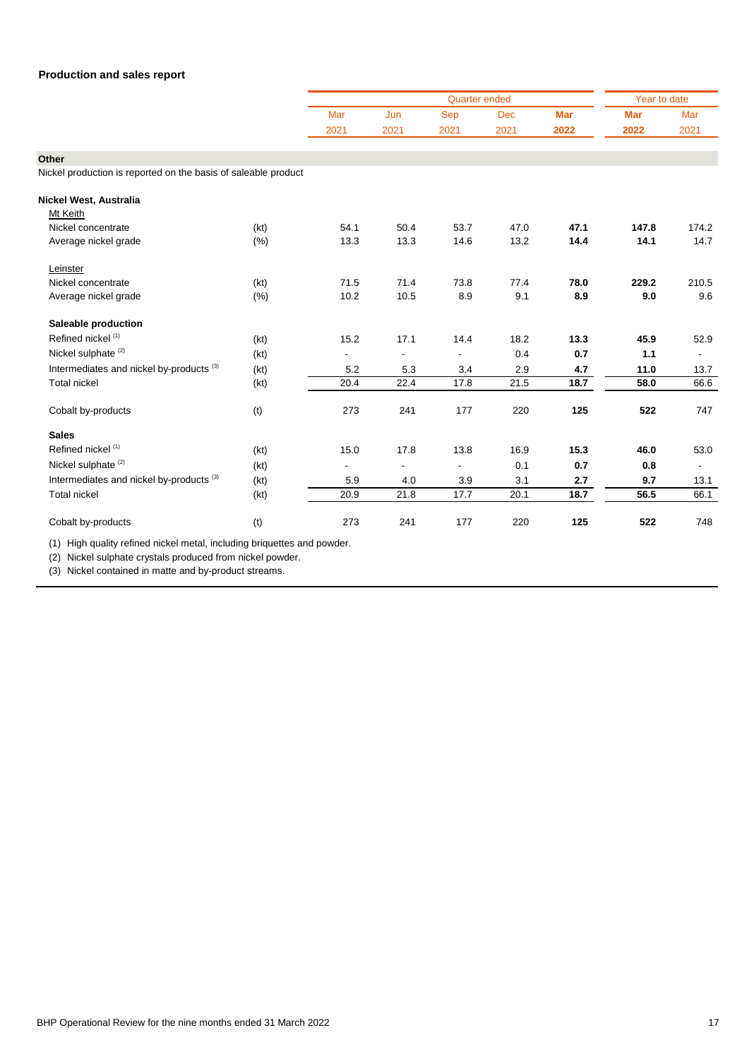|                                                                |      |      |                          | <b>Quarter ended</b> |      |      | Year to date |        |
|----------------------------------------------------------------|------|------|--------------------------|----------------------|------|------|--------------|--------|
|                                                                |      | Mar  | Jun                      | Sep                  | Dec  | Mar  | <b>Mar</b>   | Mar    |
|                                                                |      | 2021 | 2021                     | 2021                 | 2021 | 2022 | 2022         | 2021   |
| Other                                                          |      |      |                          |                      |      |      |              |        |
| Nickel production is reported on the basis of saleable product |      |      |                          |                      |      |      |              |        |
|                                                                |      |      |                          |                      |      |      |              |        |
| Nickel West, Australia                                         |      |      |                          |                      |      |      |              |        |
| Mt Keith                                                       |      |      |                          |                      |      |      |              |        |
| Nickel concentrate                                             | (kt) | 54.1 | 50.4                     | 53.7                 | 47.0 | 47.1 | 147.8        | 174.2  |
| Average nickel grade                                           | (%)  | 13.3 | 13.3                     | 14.6                 | 13.2 | 14.4 | 14.1         | 14.7   |
| Leinster                                                       |      |      |                          |                      |      |      |              |        |
| Nickel concentrate                                             | (kt) | 71.5 | 71.4                     | 73.8                 | 77.4 | 78.0 | 229.2        | 210.5  |
| Average nickel grade                                           | (% ) | 10.2 | 10.5                     | 8.9                  | 9.1  | 8.9  | 9.0          | 9.6    |
| Saleable production                                            |      |      |                          |                      |      |      |              |        |
| Refined nickel (1)                                             | (kt) | 15.2 | 17.1                     | 14.4                 | 18.2 | 13.3 | 45.9         | 52.9   |
| Nickel sulphate <sup>(2)</sup>                                 | (kt) |      | $\overline{\phantom{a}}$ |                      | 0.4  | 0.7  | 1.1          |        |
| Intermediates and nickel by-products <sup>(3)</sup>            | (kt) | 5.2  | 5.3                      | 3.4                  | 2.9  | 4.7  | 11.0         | 13.7   |
| <b>Total nickel</b>                                            | (kt) | 20.4 | 22.4                     | 17.8                 | 21.5 | 18.7 | 58.0         | 66.6   |
| Cobalt by-products                                             | (t)  | 273  | 241                      | 177                  | 220  | 125  | 522          | 747    |
| <b>Sales</b>                                                   |      |      |                          |                      |      |      |              |        |
| Refined nickel <sup>(1)</sup>                                  | (kt) | 15.0 | 17.8                     | 13.8                 | 16.9 | 15.3 | 46.0         | 53.0   |
| Nickel sulphate <sup>(2)</sup>                                 | (kt) |      |                          | $\blacksquare$       | 0.1  | 0.7  | 0.8          | $\sim$ |
| Intermediates and nickel by-products <sup>(3)</sup>            | (kt) | 5.9  | 4.0                      | 3.9                  | 3.1  | 2.7  | 9.7          | 13.1   |
| <b>Total nickel</b>                                            | (kt) | 20.9 | 21.8                     | 17.7                 | 20.1 | 18.7 | 56.5         | 66.1   |
| Cobalt by-products                                             | (t)  | 273  | 241                      | 177                  | 220  | 125  | 522          | 748    |

(1) High quality refined nickel metal, including briquettes and powder.

(2) Nickel sulphate crystals produced from nickel powder.

(3) Nickel contained in matte and by-product streams.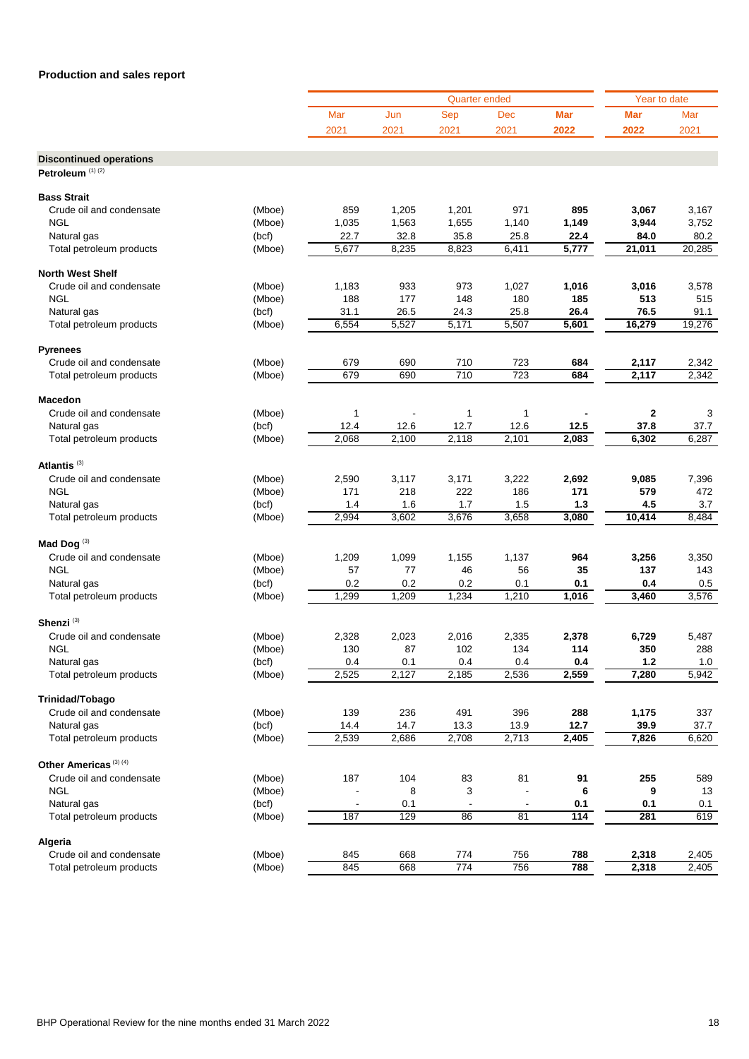|                                                               |        |       |       | <b>Quarter ended</b> |              |            | Year to date |        |
|---------------------------------------------------------------|--------|-------|-------|----------------------|--------------|------------|--------------|--------|
|                                                               |        | Mar   | Jun   | <b>Sep</b>           | Dec          | <b>Mar</b> | <b>Mar</b>   | Mar    |
|                                                               |        | 2021  | 2021  | 2021                 | 2021         | 2022       | 2022         | 2021   |
|                                                               |        |       |       |                      |              |            |              |        |
| <b>Discontinued operations</b><br>Petroleum <sup>(1)(2)</sup> |        |       |       |                      |              |            |              |        |
|                                                               |        |       |       |                      |              |            |              |        |
| <b>Bass Strait</b>                                            |        |       |       |                      |              |            |              |        |
| Crude oil and condensate                                      | (Mboe) | 859   | 1,205 | 1,201                | 971          | 895        | 3,067        | 3,167  |
| <b>NGL</b>                                                    | (Mboe) | 1,035 | 1,563 | 1,655                | 1,140        | 1,149      | 3,944        | 3,752  |
| Natural gas                                                   | (bcf)  | 22.7  | 32.8  | 35.8                 | 25.8         | 22.4       | 84.0         | 80.2   |
| Total petroleum products                                      | (Mboe) | 5,677 | 8,235 | 8,823                | 6,411        | 5,777      | 21,011       | 20,285 |
| <b>North West Shelf</b>                                       |        |       |       |                      |              |            |              |        |
| Crude oil and condensate                                      | (Mboe) | 1,183 | 933   | 973                  | 1,027        | 1,016      | 3,016        | 3,578  |
| <b>NGL</b>                                                    | (Mboe) | 188   | 177   | 148                  | 180          | 185        | 513          | 515    |
| Natural gas                                                   | (bcf)  | 31.1  | 26.5  | 24.3                 | 25.8         | 26.4       | 76.5         | 91.1   |
| Total petroleum products                                      | (Mboe) | 6,554 | 5,527 | 5,171                | 5,507        | 5,601      | 16,279       | 19,276 |
| <b>Pyrenees</b>                                               |        |       |       |                      |              |            |              |        |
| Crude oil and condensate                                      | (Mboe) | 679   | 690   | 710                  | 723          | 684        | 2,117        | 2,342  |
| Total petroleum products                                      | (Mboe) | 679   | 690   | 710                  | 723          | 684        | 2,117        | 2,342  |
| <b>Macedon</b>                                                |        |       |       |                      |              |            |              |        |
| Crude oil and condensate                                      | (Mboe) | 1     |       | 1                    | $\mathbf{1}$ |            | 2            | 3      |
| Natural gas                                                   | (bcf)  | 12.4  | 12.6  | 12.7                 | 12.6         | 12.5       | 37.8         | 37.7   |
| Total petroleum products                                      | (Mboe) | 2,068 | 2,100 | 2,118                | 2,101        | 2,083      | 6,302        | 6,287  |
| Atlantis $(3)$                                                |        |       |       |                      |              |            |              |        |
| Crude oil and condensate                                      | (Mboe) | 2,590 | 3,117 | 3,171                | 3,222        | 2,692      | 9,085        | 7,396  |
| <b>NGL</b>                                                    | (Mboe) | 171   | 218   | 222                  | 186          | 171        | 579          | 472    |
| Natural gas                                                   | (bcf)  | 1.4   | 1.6   | 1.7                  | 1.5          | 1.3        | 4.5          | 3.7    |
| Total petroleum products                                      | (Mboe) | 2,994 | 3,602 | 3,676                | 3,658        | 3,080      | 10,414       | 8,484  |
|                                                               |        |       |       |                      |              |            |              |        |
| Mad Dog $^{(3)}$                                              |        |       |       |                      |              |            |              |        |
| Crude oil and condensate                                      | (Mboe) | 1,209 | 1,099 | 1,155                | 1,137        | 964        | 3,256        | 3,350  |
| <b>NGL</b>                                                    | (Mboe) | 57    | 77    | 46                   | 56           | 35         | 137          | 143    |
| Natural gas                                                   | (bcf)  | 0.2   | 0.2   | 0.2                  | 0.1          | 0.1        | 0.4          | 0.5    |
| Total petroleum products                                      | (Mboe) | 1,299 | 1,209 | 1,234                | 1,210        | 1,016      | 3,460        | 3,576  |
| Shenzi <sup>(3)</sup>                                         |        |       |       |                      |              |            |              |        |
| Crude oil and condensate                                      | (Mboe) | 2,328 | 2,023 | 2,016                | 2,335        | 2,378      | 6,729        | 5,487  |
| <b>NGL</b>                                                    | (Mboe) | 130   | 87    | 102                  | 134          | 114        | 350          | 288    |
| Natural gas                                                   | (bcf)  | 0.4   | 0.1   | 0.4                  | 0.4          | 0.4        | 1.2          | 1.0    |
| Total petroleum products                                      | (Mboe) | 2,525 | 2,127 | 2,185                | 2,536        | 2,559      | 7,280        | 5,942  |
| Trinidad/Tobago                                               |        |       |       |                      |              |            |              |        |
| Crude oil and condensate                                      | (Mboe) | 139   | 236   | 491                  | 396          | 288        | 1,175        | 337    |
| Natural gas                                                   | (bcf)  | 14.4  | 14.7  | 13.3                 | 13.9         | 12.7       | 39.9         | 37.7   |
| Total petroleum products                                      | (Mboe) | 2,539 | 2,686 | 2,708                | 2,713        | 2,405      | 7,826        | 6,620  |
| Other Americas <sup>(3)(4)</sup>                              |        |       |       |                      |              |            |              |        |
| Crude oil and condensate                                      | (Mboe) | 187   | 104   | 83                   | 81           | 91         | 255          | 589    |
| <b>NGL</b>                                                    | (Mboe) |       | 8     | 3                    |              | 6          | 9            | 13     |
| Natural gas                                                   | (bcf)  |       | 0.1   |                      |              | 0.1        | 0.1          | 0.1    |
| Total petroleum products                                      | (Mboe) | 187   | 129   | 86                   | 81           | 114        | 281          | 619    |
| Algeria                                                       |        |       |       |                      |              |            |              |        |
| Crude oil and condensate                                      | (Mboe) | 845   | 668   | 774                  | 756          | 788        | 2,318        | 2,405  |
| Total petroleum products                                      | (Mboe) | 845   | 668   | 774                  | 756          | 788        | 2,318        | 2,405  |
|                                                               |        |       |       |                      |              |            |              |        |